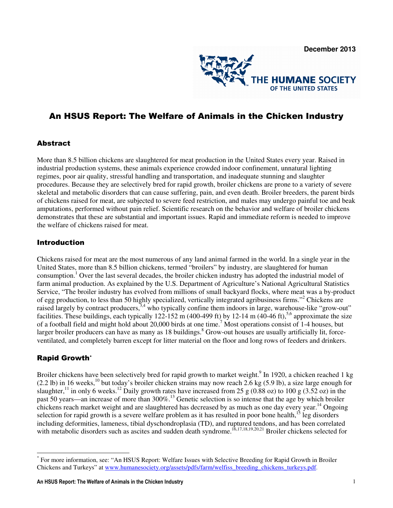

# An HSUS Report: The Welfare of Animals in the Chicken Industry

#### Abstract

More than 8.5 billion chickens are slaughtered for meat production in the United States every year. Raised in industrial production systems, these animals experience crowded indoor confinement, unnatural lighting regimes, poor air quality, stressful handling and transportation, and inadequate stunning and slaughter procedures. Because they are selectively bred for rapid growth, broiler chickens are prone to a variety of severe skeletal and metabolic disorders that can cause suffering, pain, and even death. Broiler breeders, the parent birds of chickens raised for meat, are subjected to severe feed restriction, and males may undergo painful toe and beak amputations, performed without pain relief. Scientific research on the behavior and welfare of broiler chickens demonstrates that these are substantial and important issues. Rapid and immediate reform is needed to improve the welfare of chickens raised for meat.

#### Introduction

Chickens raised for meat are the most numerous of any land animal farmed in the world. In a single year in the United States, more than 8.5 billion chickens, termed "broilers" by industry, are slaughtered for human consumption.<sup>1</sup> Over the last several decades, the broiler chicken industry has adopted the industrial model of farm animal production. As explained by the U.S. Department of Agriculture's National Agricultural Statistics Service, "The broiler industry has evolved from millions of small backyard flocks, where meat was a by-product of egg production, to less than 50 highly specialized, vertically integrated agribusiness firms."<sup>2</sup> Chickens are raised largely by contract producers,<sup>3,4</sup> who typically confine them indoors in large, warehouse-like "grow-out" facilities. These buildings, each typically 122-152 m (400-499 ft) by 12-14 m (40-46 ft),<sup>5,6</sup> approximate the size of a football field and might hold about 20,000 birds at one time.<sup>7</sup> Most operations consist of 1-4 houses, but larger broiler producers can have as many as 18 buildings.<sup>8</sup> Grow-out houses are usually artificially lit, forceventilated, and completely barren except for litter material on the floor and long rows of feeders and drinkers.

### Rapid Growth\*

l

Broiler chickens have been selectively bred for rapid growth to market weight.<sup>9</sup> In 1920, a chicken reached 1 kg  $(2.2 \text{ lb})$  in 16 weeks,<sup>10</sup> but today's broiler chicken strains may now reach 2.6 kg (5.9 lb), a size large enough for slaughter,<sup>11</sup> in only 6 weeks.<sup>12</sup> Daily growth rates have increased from 25 g (0.88 oz) to 100 g (3.52 oz) in the past 50 years—an increase of more than 300%.<sup>13</sup> Genetic selection is so intense that the age by which broiler chickens reach market weight and are slaughtered has decreased by as much as one day every year.<sup>14</sup> Ongoing selection for rapid growth is a severe welfare problem as it has resulted in poor bone health,<sup>15</sup> leg disorders including deformities, lameness, tibial dyschondroplasia (TD), and ruptured tendons, and has been correlated with metabolic disorders such as ascites and sudden death syndrome.<sup>16,17,18,19,20,21</sup> Broiler chickens selected for

<sup>\*</sup> For more information, see: "An HSUS Report: Welfare Issues with Selective Breeding for Rapid Growth in Broiler Chickens and Turkeys" at www.humanesociety.org/assets/pdfs/farm/welfiss\_breeding\_chickens\_turkeys.pdf.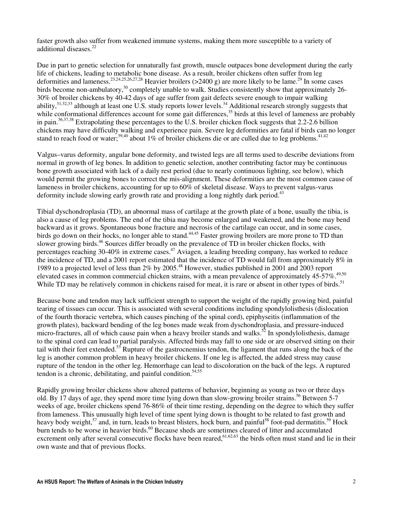faster growth also suffer from weakened immune systems, making them more susceptible to a variety of additional diseases.<sup>22</sup>

Due in part to genetic selection for unnaturally fast growth, muscle outpaces bone development during the early life of chickens, leading to metabolic bone disease. As a result, broiler chickens often suffer from leg deformities and lameness.<sup>23,24,25,26,27,28</sup> Heavier broilers (>2400 g) are more likely to be lame.<sup>29</sup> In some cases birds become non-ambulatory,<sup>30</sup> completely unable to walk. Studies consistently show that approximately 26-30% of broiler chickens by 40-42 days of age suffer from gait defects severe enough to impair walking ability,<sup>31,32,33</sup> although at least one U.S. study reports lower levels.<sup>34</sup> Additional research strongly suggests that while conformational differences account for some gait differences, $35$  birds at this level of lameness are probably in pain.36,37,38 Extrapolating these percentages to the U.S. broiler chicken flock suggests that 2.2-2.6 billion chickens may have difficulty walking and experience pain. Severe leg deformities are fatal if birds can no longer stand to reach food or water;<sup>39,40</sup> about 1% of broiler chickens die or are culled due to leg problems.<sup>41,42</sup>

Valgus–varus deformity, angular bone deformity, and twisted legs are all terms used to describe deviations from normal in growth of leg bones. In addition to genetic selection, another contributing factor may be continuous bone growth associated with lack of a daily rest period (due to nearly continuous lighting, see below), which would permit the growing bones to correct the mis-alignment. These deformities are the most common cause of lameness in broiler chickens, accounting for up to 60% of skeletal disease. Ways to prevent valgus-varus deformity include slowing early growth rate and providing a long nightly dark period.<sup>43</sup>

Tibial dyschondroplasia (TD), an abnormal mass of cartilage at the growth plate of a bone, usually the tibia, is also a cause of leg problems. The end of the tibia may become enlarged and weakened, and the bone may bend backward as it grows. Spontaneous bone fracture and necrosis of the cartilage can occur, and in some cases, birds go down on their hocks, no longer able to stand.<sup>44,45</sup> Faster growing broilers are more prone to TD than slower growing birds.<sup>46</sup> Sources differ broadly on the prevalence of TD in broiler chicken flocks, with percentages reaching 30-40% in extreme cases.<sup>47</sup> Aviagen, a leading breeding company, has worked to reduce the incidence of TD, and a 2001 report estimated that the incidence of TD would fall from approximately 8% in 1989 to a projected level of less than 2% by 2005.<sup>48</sup> However, studies published in 2001 and 2003 report elevated cases in common commercial chicken strains, with a mean prevalence of approximately 45-57%.<sup>49,50</sup> While TD may be relatively common in chickens raised for meat, it is rare or absent in other types of birds.<sup>51</sup>

Because bone and tendon may lack sufficient strength to support the weight of the rapidly growing bird, painful tearing of tissues can occur. This is associated with several conditions including spondylolisthesis (dislocation of the fourth thoracic vertebra, which causes pinching of the spinal cord), epiphyseitis (inflammation of the growth plates), backward bending of the leg bones made weak from dyschondroplasia, and pressure-induced micro-fractures, all of which cause pain when a heavy broiler stands and walks.<sup>52</sup> In spondylolisthesis, damage to the spinal cord can lead to partial paralysis. Affected birds may fall to one side or are observed sitting on their tail with their feet extended.<sup>53</sup> Rupture of the gastrocnemius tendon, the ligament that runs along the back of the leg is another common problem in heavy broiler chickens. If one leg is affected, the added stress may cause rupture of the tendon in the other leg. Hemorrhage can lead to discoloration on the back of the legs. A ruptured tendon is a chronic, debilitating, and painful condition. $54,55$ 

Rapidly growing broiler chickens show altered patterns of behavior, beginning as young as two or three days old. By 17 days of age, they spend more time lying down than slow-growing broiler strains.<sup>56</sup> Between 5-7 weeks of age, broiler chickens spend 76-86% of their time resting, depending on the degree to which they suffer from lameness. This unusually high level of time spent lying down is thought to be related to fast growth and heavy body weight,<sup>57</sup> and, in turn, leads to breast blisters, hock burn, and painful<sup>58</sup> foot-pad dermatitis.<sup>59</sup> Hock burn tends to be worse in heavier birds.<sup>60</sup> Because sheds are sometimes cleared of litter and accumulated excrement only after several consecutive flocks have been reared,  $61,62,63$  the birds often must stand and lie in their own waste and that of previous flocks.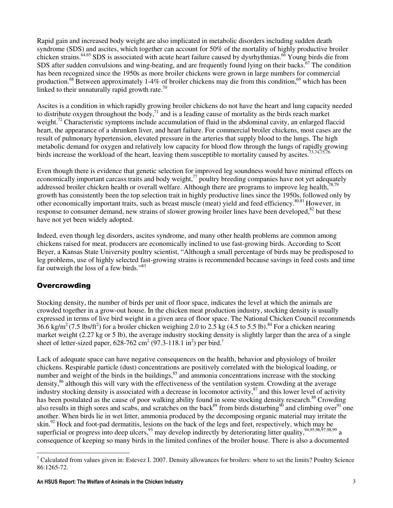Rapid gain and increased body weight are also implicated in metabolic disorders including sudden death syndrome (SDS) and ascites, which together can account for 50% of the mortality of highly productive broiler chicken strains.<sup>64,65</sup> SDS is associated with acute heart failure caused by dysrhythmias.<sup>66</sup> Young birds die from SDS after sudden convulsions and wing-beating, and are frequently found lying on their backs.<sup>67</sup> The condition has been recognized since the 1950s as more broiler chickens were grown in large numbers for commercial production.<sup>68</sup> Between approximately 1-4% of broiler chickens may die from this condition,<sup>69</sup> which has been linked to their unnaturally rapid growth rate.<sup>70</sup>

Ascites is a condition in which rapidly growing broiler chickens do not have the heart and lung capacity needed to distribute oxygen throughout the body,  $\frac{1}{2}$  and is a leading cause of mortality as the birds reach market weight.<sup>72</sup> Characteristic symptoms include accumulation of fluid in the abdominal cavity, an enlarged flaccid heart, the appearance of a shrunken liver, and heart failure. For commercial broiler chickens, most cases are the result of pulmonary hypertension, elevated pressure in the arteries that supply blood to the lungs. The high metabolic demand for oxygen and relatively low capacity for blood flow through the lungs of rapidly growing birds increase the workload of the heart, leaving them susceptible to mortality caused by ascites.<sup>73,74,75,76</sup>

Even though there is evidence that genetic selection for improved leg soundness would have minimal effects on economically important carcass traits and body weight, $77$  poultry breeding companies have not yet adequately addressed broiler chicken health or overall welfare. Although there are programs to improve leg health, 78,79 growth has consistently been the top selection trait in highly productive lines since the 1950s, followed only by other economically important traits, such as breast muscle (meat) yield and feed efficiency.80,81 However, in response to consumer demand, new strains of slower growing broiler lines have been developed, <sup>82</sup> but these have not yet been widely adopted.

Indeed, even though leg disorders, ascites syndrome, and many other health problems are common among chickens raised for meat, producers are economically inclined to use fast-growing birds. According to Scott Beyer, a Kansas State University poultry scientist, "Although a small percentage of birds may be predisposed to leg problems, use of highly selected fast-growing strains is recommended because savings in feed costs and time far outweigh the loss of a few birds."<sup>83</sup>

### **Overcrowding**

Stocking density, the number of birds per unit of floor space, indicates the level at which the animals are crowded together in a grow-out house. In the chicken meat production industry, stocking density is usually expressed in terms of live bird weight in a given area of floor space. The National Chicken Council recommends 36.6 kg/m<sup>2</sup> (7.5 lbs/ft<sup>2</sup>) for a broiler chicken weighing 2.0 to 2.5 kg (4.5 to 5.5 lb).<sup>84</sup> For a chicken nearing market weight (2.27 kg or 5 lb), the average industry stocking density is slightly larger than the area of a single sheet of letter-sized paper,  $628-762$  cm<sup>2</sup> (97.3-118.1 in<sup>2</sup>) per bird.<sup>†</sup>

Lack of adequate space can have negative consequences on the health, behavior and physiology of broiler chickens. Respirable particle (dust) concentrations are positively correlated with the biological loading, or number and weight of the birds in the buildings, $85$  and ammonia concentrations increase with the stocking density,<sup>86</sup> although this will vary with the effectiveness of the ventilation system. Crowding at the average industry stocking density is associated with a decrease in locomotor activity, $87$  and this lower level of activity has been postulated as the cause of poor walking ability found in some stocking density research.<sup>88</sup> Crowding also results in thigh sores and scabs, and scratches on the back<sup>89</sup> from birds disturbing<sup>90</sup> and climbing over<sup>91</sup> one another. When birds lie in wet litter, ammonia produced by the decomposing organic material may irritate the skin.<sup>92</sup> Hock and foot-pad dermatitis, lesions on the back of the legs and feet, respectively, which may be superficial or progress into deep ulcers,  $93$  may develop indirectly by deteriorating litter quality,  $94,95,96,97,98,99$  a consequence of keeping so many birds in the limited confines of the broiler house. There is also a documented

l † Calculated from values given in: Estevez I. 2007. Density allowances for broilers: where to set the limits? Poultry Science 86:1265-72.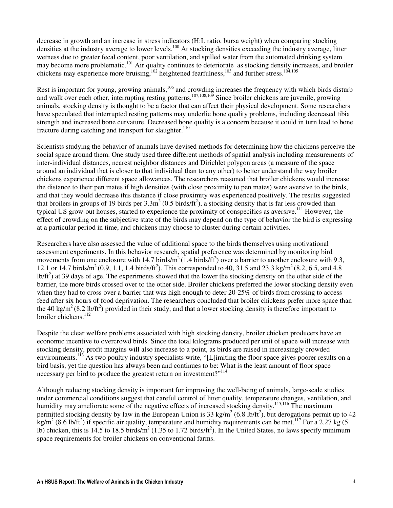decrease in growth and an increase in stress indicators (H:L ratio, bursa weight) when comparing stocking densities at the industry average to lower levels.<sup>100</sup> At stocking densities exceeding the industry average, litter wetness due to greater fecal content, poor ventilation, and spilled water from the automated drinking system may become more problematic.<sup>101</sup> Air quality continues to deteriorate as stocking density increases, and broiler chickens may experience more bruising, $^{102}$  heightened fearfulness, $^{103}$  and further stress. $^{104,105}$ 

Rest is important for young, growing animals,<sup>106</sup> and crowding increases the frequency with which birds disturb and walk over each other, interrupting resting patterns.<sup>107,108,109</sup> Since broiler chickens are juvenile, growing animals, stocking density is thought to be a factor that can affect their physical development. Some researchers have speculated that interrupted resting patterns may underlie bone quality problems, including decreased tibia strength and increased bone curvature. Decreased bone quality is a concern because it could in turn lead to bone fracture during catching and transport for slaughter.<sup>110</sup>

Scientists studying the behavior of animals have devised methods for determining how the chickens perceive the social space around them. One study used three different methods of spatial analysis including measurements of inter-individual distances, nearest neighbor distances and Dirichlet polygon areas (a measure of the space around an individual that is closer to that individual than to any other) to better understand the way broiler chickens experience different space allowances. The researchers reasoned that broiler chickens would increase the distance to their pen mates if high densities (with close proximity to pen mates) were aversive to the birds, and that they would decrease this distance if close proximity was experienced positively. The results suggested that broilers in groups of 19 birds per  $3.3\text{m}^2$  (0.5 birds/ft<sup>2</sup>), a stocking density that is far less crowded than typical US grow-out houses, started to experience the proximity of conspecifics as aversive.<sup>111</sup> However, the effect of crowding on the subjective state of the birds may depend on the type of behavior the bird is expressing at a particular period in time, and chickens may choose to cluster during certain activities.

Researchers have also assessed the value of additional space to the birds themselves using motivational assessment experiments. In this behavior research, spatial preference was determined by monitoring bird movements from one enclosure with 14.7 birds/ $m^2$  (1.4 birds/ft<sup>2</sup>) over a barrier to another enclosure with 9.3, 12.1 or 14.7 birds/m<sup>2</sup> (0.9, 1.1, 1.4 birds/ft<sup>2</sup>). This corresponded to 40, 31.5 and 23.3 kg/m<sup>2</sup> (8.2, 6.5, and 4.8  $lb/ft<sup>2</sup>$ ) at 39 days of age. The experiments showed that the lower the stocking density on the other side of the barrier, the more birds crossed over to the other side. Broiler chickens preferred the lower stocking density even when they had to cross over a barrier that was high enough to deter 20-25% of birds from crossing to access feed after six hours of food deprivation. The researchers concluded that broiler chickens prefer more space than the 40 kg/m<sup>2</sup> (8.2 lb/ft<sup>2</sup>) provided in their study, and that a lower stocking density is therefore important to broiler chickens.<sup>112</sup>

Despite the clear welfare problems associated with high stocking density, broiler chicken producers have an economic incentive to overcrowd birds. Since the total kilograms produced per unit of space will increase with stocking density, profit margins will also increase to a point, as birds are raised in increasingly crowded environments.<sup>113</sup> As two poultry industry specialists write, "[L]imiting the floor space gives poorer results on a bird basis, yet the question has always been and continues to be: What is the least amount of floor space necessary per bird to produce the greatest return on investment?"<sup>114</sup>

Although reducing stocking density is important for improving the well-being of animals, large-scale studies under commercial conditions suggest that careful control of litter quality, temperature changes, ventilation, and humidity may ameliorate some of the negative effects of increased stocking density.<sup>115,116</sup> The maximum permitted stocking density by law in the European Union is 33 kg/m<sup>2</sup> (6.8 lb/ft<sup>2</sup>), but derogations permit up to 42  $\frac{\text{kg}}{m^2}$  (8.6 lb/ft<sup>2</sup>) if specific air quality, temperature and humidity requirements can be met.<sup>117</sup> For a 2.27 kg (5 lb) chicken, this is 14.5 to 18.5 birds/m<sup>2</sup> (1.35 to 1.72 birds/ft<sup>2</sup>). In the United States, no laws specify minimum space requirements for broiler chickens on conventional farms.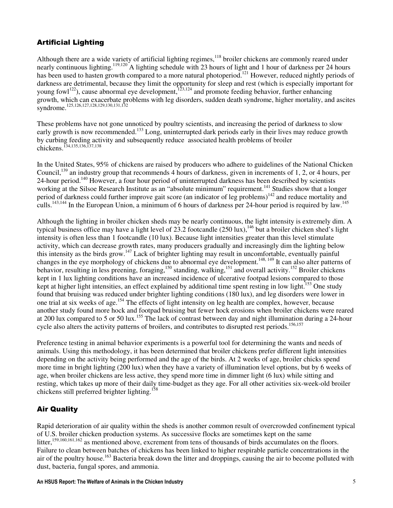# Artificial Lighting

Although there are a wide variety of artificial lighting regimes,<sup>118</sup> broiler chickens are commonly reared under nearly continuous lighting.<sup>119,120</sup> A lighting schedule with 23 hours of light and 1 hour of darkness per 24 hours has been used to hasten growth compared to a more natural photoperiod.<sup>121</sup> However, reduced nightly periods of darkness are detrimental, because they limit the opportunity for sleep and rest (which is especially important for young fowl<sup>122</sup>), cause abnormal eye development,<sup>123,124</sup> and promote feeding behavior, further enhancing growth, which can exacerbate problems with leg disorders, sudden death syndrome, higher mortality, and ascites syndrome.<sup>125,126,127,128,129,130,131,132</sup>

These problems have not gone unnoticed by poultry scientists, and increasing the period of darkness to slow early growth is now recommended.<sup>133</sup> Long, uninterrupted dark periods early in their lives may reduce growth by curbing feeding activity and subsequently reduce associated health problems of broiler chickens.<sup>134,135,136,137,138</sup>

In the United States, 95% of chickens are raised by producers who adhere to guidelines of the National Chicken Council,<sup>139</sup> an industry group that recommends 4 hours of darkness, given in increments of 1, 2, or 4 hours, per 24-hour period.<sup>140</sup> However, a four hour period of uninterrupted darkness has been described by scientists working at the Silsoe Research Institute as an "absolute minimum" requirement.<sup>141</sup> Studies show that a longer period of darkness could further improve gait score (an indicator of leg problems)<sup>142</sup> and reduce mortality and culls.<sup>143,144</sup> In the European Union, a minimum of 6 hours of darkness per 24-hour period is required by law.<sup>145</sup>

Although the lighting in broiler chicken sheds may be nearly continuous, the light intensity is extremely dim. A typical business office may have a light level of 23.2 footcandle  $(250 \text{ lux})$ ,<sup>146</sup> but a broiler chicken shed's light intensity is often less than 1 footcandle (10 lux). Because light intensities greater than this level stimulate activity, which can decrease growth rates, many producers gradually and increasingly dim the lighting below this intensity as the birds grow.<sup>147</sup> Lack of brighter lighting may result in uncomfortable, eventually painful changes in the eye morphology of chickens due to abnormal eye development.<sup>148, 149</sup> It can also alter patterns of behavior, resulting in less preening, foraging,<sup>150</sup> standing, walking,<sup>151</sup> and overall activity.<sup>152</sup> Broiler chickens kept in 1 lux lighting conditions have an increased incidence of ulcerative footpad lesions compared to those kept at higher light intensities, an effect explained by additional time spent resting in low light.<sup>153</sup> One study found that bruising was reduced under brighter lighting conditions (180 lux), and leg disorders were lower in one trial at six weeks of age.<sup>154</sup> The effects of light intensity on leg health are complex, however, because another study found more hock and footpad bruising but fewer hock erosions when broiler chickens were reared at 200 lux compared to 5 or 50 lux.<sup>155</sup> The lack of contrast between day and night illumination during a 24-hour cycle also alters the activity patterns of broilers, and contributes to disrupted rest periods.<sup>156,157</sup>

Preference testing in animal behavior experiments is a powerful tool for determining the wants and needs of animals. Using this methodology, it has been determined that broiler chickens prefer different light intensities depending on the activity being performed and the age of the birds. At 2 weeks of age, broiler chicks spend more time in bright lighting (200 lux) when they have a variety of illumination level options, but by 6 weeks of age, when broiler chickens are less active, they spend more time in dimmer light (6 lux) while sitting and resting, which takes up more of their daily time-budget as they age. For all other activities six-week-old broiler chickens still preferred brighter lighting.<sup>158</sup>

# Air Quality

Rapid deterioration of air quality within the sheds is another common result of overcrowded confinement typical of U.S. broiler chicken production systems. As successive flocks are sometimes kept on the same litter,<sup>159,160,161,162</sup> as mentioned above, excrement from tens of thousands of birds accumulates on the floors. Failure to clean between batches of chickens has been linked to higher respirable particle concentrations in the air of the poultry house.<sup>163</sup> Bacteria break down the litter and droppings, causing the air to become polluted with dust, bacteria, fungal spores, and ammonia.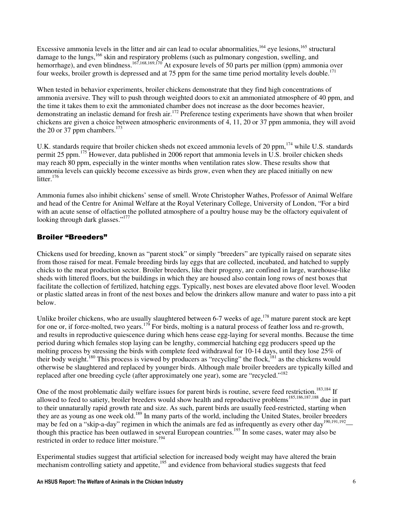Excessive ammonia levels in the litter and air can lead to ocular abnormalities,<sup>164</sup> eye lesions,<sup>165</sup> structural damage to the lungs, <sup>166</sup> skin and respiratory problems (such as pulmonary congestion, swelling, and hemorrhage), and even blindness.<sup>167,168,169,170</sup> At exposure levels of 50 parts per million (ppm) ammonia over four weeks, broiler growth is depressed and at 75 ppm for the same time period mortality levels double.<sup>171</sup>

When tested in behavior experiments, broiler chickens demonstrate that they find high concentrations of ammonia aversive. They will to push through weighted doors to exit an ammoniated atmosphere of 40 ppm, and the time it takes them to exit the ammoniated chamber does not increase as the door becomes heavier, demonstrating an inelastic demand for fresh air.<sup>172</sup> Preference testing experiments have shown that when broiler chickens are given a choice between atmospheric environments of 4, 11, 20 or 37 ppm ammonia, they will avoid the 20 or 37 ppm chambers. $173$ 

U.K. standards require that broiler chicken sheds not exceed ammonia levels of 20 ppm, <sup>174</sup> while U.S. standards permit 25 ppm.<sup>175</sup> However, data published in 2006 report that ammonia levels in U.S. broiler chicken sheds may reach 80 ppm, especially in the winter months when ventilation rates slow. These results show that ammonia levels can quickly become excessive as birds grow, even when they are placed initially on new litter. $176$ 

Ammonia fumes also inhibit chickens' sense of smell. Wrote Christopher Wathes, Professor of Animal Welfare and head of the Centre for Animal Welfare at the Royal Veterinary College, University of London, "For a bird with an acute sense of olfaction the polluted atmosphere of a poultry house may be the olfactory equivalent of looking through dark glasses."<sup>177</sup>

### Broiler "Breeders"

Chickens used for breeding, known as "parent stock" or simply "breeders" are typically raised on separate sites from those raised for meat. Female breeding birds lay eggs that are collected, incubated, and hatched to supply chicks to the meat production sector. Broiler breeders, like their progeny, are confined in large, warehouse-like sheds with littered floors, but the buildings in which they are housed also contain long rows of nest boxes that facilitate the collection of fertilized, hatching eggs. Typically, nest boxes are elevated above floor level. Wooden or plastic slatted areas in front of the nest boxes and below the drinkers allow manure and water to pass into a pit below.

Unlike broiler chickens, who are usually slaughtered between 6-7 weeks of age,<sup>178</sup> mature parent stock are kept for one or, if force-molted, two years.<sup>179</sup> For birds, molting is a natural process of feather loss and re-growth, and results in reproductive quiescence during which hens cease egg-laying for several months. Because the time period during which females stop laying can be lengthy, commercial hatching egg producers speed up the molting process by stressing the birds with complete feed withdrawal for 10-14 days, until they lose 25% of their body weight.<sup>180</sup> This process is viewed by producers as "recycling" the flock,<sup>181</sup> as the chickens would otherwise be slaughtered and replaced by younger birds. Although male broiler breeders are typically killed and replaced after one breeding cycle (after approximately one year), some are "recycled."<sup>182</sup>

One of the most problematic daily welfare issues for parent birds is routine, severe feed restriction.<sup>183,184</sup> If allowed to feed to satiety, broiler breeders would show health and reproductive problems<sup>185,186,187,188</sup> due in part to their unnaturally rapid growth rate and size. As such, parent birds are usually feed-restricted, starting when they are as young as one week old.<sup>189</sup> In many parts of the world, including the United States, broiler breeders may be fed on a "skip-a-day" regimen in which the animals are fed as infrequently as every other day<sup>190,191,192</sup> though this practice has been outlawed in several European countries.<sup>193</sup> In some cases, water may also be restricted in order to reduce litter moisture.<sup>194</sup>

Experimental studies suggest that artificial selection for increased body weight may have altered the brain mechanism controlling satiety and appetite,<sup>195</sup> and evidence from behavioral studies suggests that feed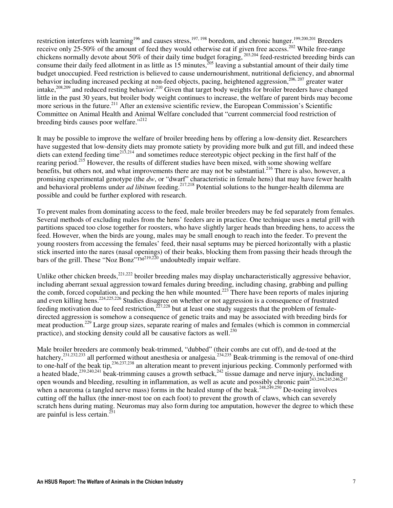restriction interferes with learning<sup>196</sup> and causes stress,<sup>197, 198</sup> boredom, and chronic hunger.<sup>199,200,201</sup> Breeders receive only 25-50% of the amount of feed they would otherwise eat if given free access.<sup>202</sup> While free-range chickens normally devote about 50% of their daily time budget foraging, 203,204 feed-restricted breeding birds can consume their daily feed allotment in as little as 15 minutes, $2^{0.5}$  leaving a substantial amount of their daily time budget unoccupied. Feed restriction is believed to cause undernourishment, nutritional deficiency, and abnormal behavior including increased pecking at non-feed objects, pacing, heightened aggression,<sup>206, 207</sup> greater water intake, $^{208,209}$  and reduced resting behavior.<sup>210</sup> Given that target body weights for broiler breeders have changed little in the past 30 years, but broiler body weight continues to increase, the welfare of parent birds may become more serious in the future.<sup>211</sup> After an extensive scientific review, the European Commission's Scientific Committee on Animal Health and Animal Welfare concluded that "current commercial food restriction of breeding birds causes poor welfare."<sup>212</sup>

It may be possible to improve the welfare of broiler breeding hens by offering a low-density diet. Researchers have suggested that low-density diets may promote satiety by providing more bulk and gut fill, and indeed these diets can extend feeding time<sup>213,214</sup> and sometimes reduce stereotypic object pecking in the first half of the rearing period.<sup>215</sup> However, the results of different studies have been mixed, with some showing welfare benefits, but others not, and what improvements there are may not be substantial.<sup>216</sup> There is also, however, a promising experimental genotype (the *dw*, or "dwarf" characteristic in female hens) that may have fewer health and behavioral problems under *ad libitum* feeding.<sup>217,218</sup> Potential solutions to the hunger-health dilemma are possible and could be further explored with research.

To prevent males from dominating access to the feed, male broiler breeders may be fed separately from females. Several methods of excluding males from the hens' feeders are in practice. One technique uses a metal grill with partitions spaced too close together for roosters, who have slightly larger heads than breeding hens, to access the feed. However, when the birds are young, males may be small enough to reach into the feeder. To prevent the young roosters from accessing the females' feed, their nasal septums may be pierced horizontally with a plastic stick inserted into the nares (nasal openings) of their beaks, blocking them from passing their heads through the bars of the grill. These "Noz Bonz" $\overline{M}^{219,220}$  undoubtedly impair welfare.

Unlike other chicken breeds,<sup>221,222</sup> broiler breeding males may display uncharacteristically aggressive behavior, including aberrant sexual aggression toward females during breeding, including chasing, grabbing and pulling the comb, forced copulation, and pecking the hen while mounted.<sup>223</sup> There have been reports of males injuring and even killing hens.<sup>224,225,226</sup> Studies disagree on whether or not aggression is a consequence of frustrated feeding motivation due to feed restriction,<sup>227,228</sup> but at least one study suggests that the problem of femaledirected aggression is somehow a consequence of genetic traits and may be associated with breeding birds for meat production.<sup>229</sup> Large group sizes, separate rearing of males and females (which is common in commercial practice), and stocking density could all be causative factors as well.<sup>230</sup>

Male broiler breeders are commonly beak-trimmed, "dubbed" (their combs are cut off), and de-toed at the hatchery,<sup>231,232,233</sup> all performed without anesthesia or analgesia.<sup>234,235</sup> Beak-trimming is the removal of one-third to one-half of the beak tip,<sup>236,237,238</sup> an alteration meant to prevent injurious pecking. Commonly performed with a heated blade,<sup>239,240,241</sup> beak-trimming causes a growth setback,<sup>242</sup> tissue damage and nerve injury, including open wounds and bleeding, resulting in inflammation, as well as acute and possibly chronic pain<sup>243,244,245,246,247</sup> when a neuroma (a tangled nerve mass) forms in the healed stump of the beak.<sup>248,249,250</sup> De-toeing involves cutting off the hallux (the inner-most toe on each foot) to prevent the growth of claws, which can severely scratch hens during mating. Neuromas may also form during toe amputation, however the degree to which these are painful is less certain.<sup>251</sup>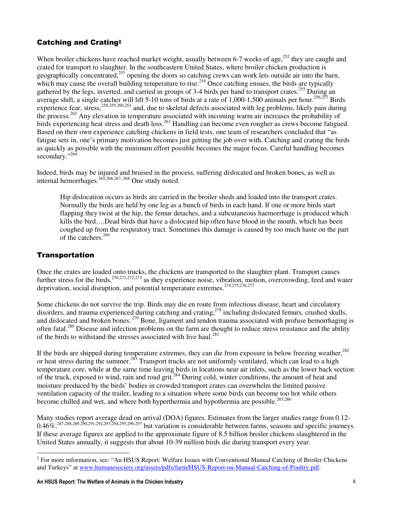### Catching and Crating‡

When broiler chickens have reached market weight, usually between 6-7 weeks of age,<sup>252</sup> they are caught and crated for transport to slaughter. In the southeastern United States, where broiler chicken production is geographically concentrated,<sup>253</sup> opening the doors so catching crews can work lets outside air into the barn, which may cause the overall building temperature to rise.<sup>254</sup> Once catching ensues, the birds are typically gathered by the legs, inverted, and carried in groups of 3-4 birds per hand to transport crates.<sup>255</sup> During an average shift, a single catcher will lift 5-10 tons of birds at a rate of 1,000-1,500 animals per hour.<sup>256,257</sup> Birds experience fear, stress,<sup>258,259,260,261</sup> and, due to skeletal defects associated with leg problems, likely pain during the process.<sup>262</sup> Any elevation in temperature associated with incoming warm air increases the probability of birds experiencing heat stress and death loss.<sup>263</sup> Handling can become even rougher as crews become fatigued. Based on their own experience catching chickens in field tests, one team of researchers concluded that "as fatigue sets in, one's primary motivation becomes just getting the job over with. Catching and crating the birds as quickly as possible with the minimum effort possible becomes the major focus. Careful handling becomes secondary."<sup>264</sup>

Indeed, birds may be injured and bruised in the process, suffering dislocated and broken bones, as well as internal hemorrhages.<sup>265,266,267, 268</sup> One study noted:

Hip dislocation occurs as birds are carried in the broiler sheds and loaded into the transport crates. Normally the birds are held by one leg as a bunch of birds in each hand. If one or more birds start flapping they twist at the hip, the femur detaches, and a subcutaneous haemorrhage is produced which kills the bird….Dead birds that have a dislocated hip often have blood in the mouth, which has been coughed up from the respiratory tract. Sometimes this damage is caused by too much haste on the part of the catchers.<sup>269</sup>

#### **Transportation**

l

Once the crates are loaded onto trucks, the chickens are transported to the slaughter plant. Transport causes further stress for the birds,<sup>270,271,272,273</sup> as they experience noise, vibration, motion, overcrowding, feed and water deprivation, social disruption, and potential temperature extremes.<sup>274,275,276,277</sup>

Some chickens do not survive the trip. Birds may die en route from infectious disease, heart and circulatory disorders, and trauma experienced during catching and crating,<sup>278</sup> including dislocated femurs, crushed skulls, and dislocated and broken bones.<sup>279</sup> Bone, ligament and tendon trauma associated with profuse hemorrhaging is often fatal.<sup>280</sup> Disease and infection problems on the farm are thought to reduce stress resistance and the ability of the birds to withstand the stresses associated with live haul.<sup>281</sup>

If the birds are shipped during temperature extremes, they can die from exposure in below freezing weather,<sup>282</sup> or heat stress during the summer.<sup>283</sup> Transport trucks are not uniformly ventilated, which can lead to a high temperature core, while at the same time leaving birds in locations near air inlets, such as the lower back section of the truck, exposed to wind, rain and road grit.<sup>284</sup> During cold, winter conditions, the amount of heat and moisture produced by the birds' bodies in crowded transport crates can overwhelm the limited passive ventilation capacity of the trailer, leading to a situation where some birds can become too hot while others become chilled and wet, and where both hyperthermia and hypothermia are possible.<sup>285,286</sup>

Many studies report average dead on arrival (DOA) figures. Estimates from the larger studies range from 0.12-  $0.46\%$ <sup>287,288,289,290,291,292,293,294,295,296,297</sup> but variation is considerable between farms, seasons and specific journeys. If these average figures are applied to the approximate figure of 8.5 billion broiler chickens slaughtered in the United States annually, it suggests that about 10-39 million birds die during transport every year.

<sup>‡</sup> For more information, see: "An HSUS Report: Welfare Issues with Conventional Manual Catching of Broiler Chickens and Turkeys" at www.humanesociety.org/assets/pdfs/farm/HSUS-Report-on-Manual-Catching-of-Poultry.pdf.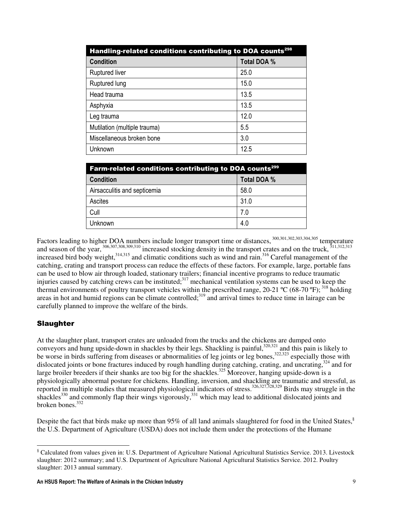| Handling-related conditions contributing to DOA counts <sup>298</sup> |             |
|-----------------------------------------------------------------------|-------------|
| <b>Condition</b>                                                      | Total DOA % |
| <b>Ruptured liver</b>                                                 | 25.0        |
| Ruptured lung                                                         | 15.0        |
| Head trauma                                                           | 13.5        |
| Asphyxia                                                              | 13.5        |
| Leg trauma                                                            | 12.0        |
| Mutilation (multiple trauma)                                          | 5.5         |
| Miscellaneous broken bone                                             | 3.0         |
| Unknown                                                               | 12.5        |

| <b>Farm-related conditions contributing to DOA counts<sup>299</sup></b> |             |
|-------------------------------------------------------------------------|-------------|
| <b>Condition</b>                                                        | Total DOA % |
| Airsacculitis and septicemia                                            | 58.0        |
| Ascites                                                                 | 31.0        |
| Cull                                                                    | 7.0         |
| Unknown                                                                 | 4.0         |

Factors leading to higher DOA numbers include longer transport time or distances, <sup>300,301,302,303,304,305</sup> temperature and season of the year,  $306,307,308,309,310$  increased stocking density in the transport crates and on the truck,  $311,312,313$ increased bird body weight,<sup>314,315</sup> and climatic conditions such as wind and rain.<sup>316</sup> Careful management of the catching, crating and transport process can reduce the effects of these factors. For example, large, portable fans can be used to blow air through loaded, stationary trailers; financial incentive programs to reduce traumatic injuries caused by catching crews can be instituted;<sup>317</sup> mechanical ventilation systems can be used to keep the thermal environments of poultry transport vehicles within the prescribed range, 20-21  $^{\circ}$ C (68-70  $^{\circ}$ F);<sup>318</sup> holding areas in hot and humid regions can be climate controlled;<sup>319</sup> and arrival times to reduce time in lairage can be carefully planned to improve the welfare of the birds.

#### Slaughter

 $\overline{a}$ 

At the slaughter plant, transport crates are unloaded from the trucks and the chickens are dumped onto conveyors and hung upside-down in shackles by their legs. Shackling is painful,  $320,321$  and this pain is likely to be worse in birds suffering from diseases or abnormalities of leg joints or leg bones,<sup>322,323</sup> especially those with dislocated joints or bone fractures induced by rough handling during catching, crating, and uncrating,<sup>324</sup> and for large broiler breeders if their shanks are too big for the shackles.<sup>325</sup> Moreover, hanging upside-down is a physiologically abnormal posture for chickens. Handling, inversion, and shackling are traumatic and stressful, as reported in multiple studies that measured physiological indicators of stress.<sup>326,327,328,329</sup> Birds may struggle in the shackles<sup>330</sup> and commonly flap their wings vigorously,<sup>331</sup> which may lead to additional dislocated joints and broken bones.<sup>332</sup>

Despite the fact that birds make up more than 95% of all land animals slaughtered for food in the United States, $\frac{8}{3}$ the U.S. Department of Agriculture (USDA) does not include them under the protections of the Humane

<sup>&</sup>lt;sup>§</sup> Calculated from values given in: U.S. Department of Agriculture National Agricultural Statistics Service. 2013. Livestock slaughter: 2012 summary; and U.S. Department of Agriculture National Agricultural Statistics Service. 2012. Poultry slaughter: 2013 annual summary.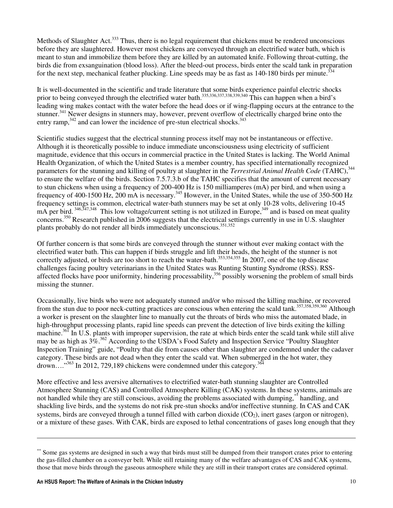Methods of Slaughter Act.<sup>333</sup> Thus, there is no legal requirement that chickens must be rendered unconscious before they are slaughtered. However most chickens are conveyed through an electrified water bath, which is meant to stun and immobilize them before they are killed by an automated knife. Following throat-cutting, the birds die from exsanguination (blood loss). After the bleed-out process, birds enter the scald tank in preparation for the next step, mechanical feather plucking. Line speeds may be as fast as 140-180 birds per minute.<sup>334</sup>

It is well-documented in the scientific and trade literature that some birds experience painful electric shocks prior to being conveyed through the electrified water bath.<sup>335,336,337,338,339,340</sup> This can happen when a bird's leading wing makes contact with the water before the head does or if wing-flapping occurs at the entrance to the stunner.<sup>341</sup> Newer designs in stunners may, however, prevent overflow of electrically charged brine onto the entry ramp,  $342$  and can lower the incidence of pre-stun electrical shocks.  $343$ 

Scientific studies suggest that the electrical stunning process itself may not be instantaneous or effective. Although it is theoretically possible to induce immediate unconsciousness using electricity of sufficient magnitude, evidence that this occurs in commercial practice in the United States is lacking. The World Animal Health Organization, of which the United States is a member country, has specified internationally recognized parameters for the stunning and killing of poultry at slaughter in the *Terrestrial Animal Health Code* (TAHC),<sup>344</sup> to ensure the welfare of the birds. Section 7.5.7.3.b of the TAHC specifies that the amount of current necessary to stun chickens when using a frequency of 200-400 Hz is 150 milliamperes (mA) per bird, and when using a frequency of 400-1500 Hz, 200 mA is necessary.<sup>345</sup> However, in the United States, while the use of 350-500 Hz frequency settings is common, electrical water-bath stunners may be set at only 10-28 volts, delivering 10-45  $mA$  per bird.  $346,347,348$  This low voltage/current setting is not utilized in Europe,  $349$  and is based on meat quality concerns.<sup>350</sup> Research published in 2006 suggests that the electrical settings currently in use in U.S. slaughter plants probably do not render all birds immediately unconscious.<sup>351,352</sup>

Of further concern is that some birds are conveyed through the stunner without ever making contact with the electrified water bath. This can happen if birds struggle and lift their heads, the height of the stunner is not correctly adjusted, or birds are too short to reach the water-bath.<sup>353,354,355</sup> In 2007, one of the top disease challenges facing poultry veterinarians in the United States was Runting Stunting Syndrome (RSS). RSSaffected flocks have poor uniformity, hindering processability,<sup>356</sup> possibly worsening the problem of small birds missing the stunner.

Occasionally, live birds who were not adequately stunned and/or who missed the killing machine, or recovered from the stun due to poor neck-cutting practices are conscious when entering the scald tank.357,358,359,360 Although a worker is present on the slaughter line to manually cut the throats of birds who miss the automated blade, in high-throughput processing plants, rapid line speeds can prevent the detection of live birds exiting the killing machine.<sup>361</sup> In U.S. plants with improper supervision, the rate at which birds enter the scald tank while still alive may be as high as  $3\%$ .<sup>362</sup> According to the USDA's Food Safety and Inspection Service "Poultry Slaughter" Inspection Training" guide, "Poultry that die from causes other than slaughter are condemned under the cadaver category. These birds are not dead when they enter the scald vat. When submerged in the hot water, they drown...."<sup>363</sup> In 2012, 729,189 chickens were condemned under this category.<sup>364</sup>

More effective and less aversive alternatives to electrified water-bath stunning slaughter are Controlled Atmosphere Stunning (CAS) and Controlled Atmosphere Killing (CAK) systems. In these systems, animals are not handled while they are still conscious, avoiding the problems associated with dumping,\*\* handling, and shackling live birds, and the systems do not risk pre-stun shocks and/or ineffective stunning. In CAS and CAK systems, birds are conveyed through a tunnel filled with carbon dioxide  $(CO<sub>2</sub>)$ , inert gases (argon or nitrogen), or a mixture of these gases. With CAK, birds are exposed to lethal concentrations of gases long enough that they

 $\overline{a}$ 

<sup>\*\*</sup> Some gas systems are designed in such a way that birds must still be dumped from their transport crates prior to entering the gas-filled chamber on a conveyer belt. While still retaining many of the welfare advantages of CAS and CAK systems, those that move birds through the gaseous atmosphere while they are still in their transport crates are considered optimal.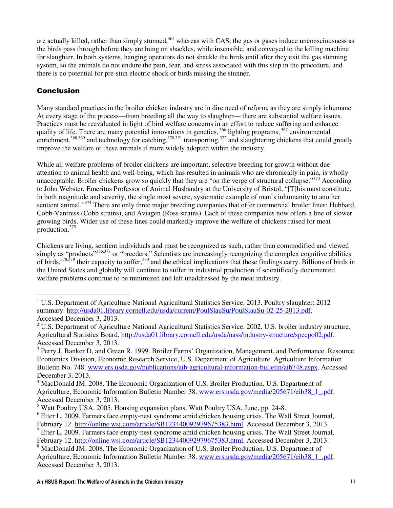are actually killed, rather than simply stunned,<sup>365</sup> whereas with CAS, the gas or gases induce unconsciousness as the birds pass through before they are hung on shackles, while insensible, and conveyed to the killing machine for slaughter. In both systems, hanging operators do not shackle the birds until after they exit the gas stunning system, so the animals do not endure the pain, fear, and stress associated with this step in the procedure, and there is no potential for pre-stun electric shock or birds missing the stunner.

# Conclusion

 $\overline{a}$ 

Many standard practices in the broiler chicken industry are in dire need of reform, as they are simply inhumane. At every stage of the process—from breeding all the way to slaughter— there are substantial welfare issues. Practices must be reevaluated in light of bird welfare concerns in an effort to reduce suffering and enhance quality of life. There are many potential innovations in genetics,  $366$  lighting programs,  $367$  environmental enrichment,  $368,369$  and technology for catching,  $370,371$  transporting,  $372$  and slaughtering chickens that could greatly improve the welfare of these animals if more widely adopted within the industry.

While all welfare problems of broiler chickens are important, selective breeding for growth without due attention to animal health and well-being, which has resulted in animals who are chronically in pain, is wholly unacceptable. Broiler chickens grow so quickly that they are "on the verge of structural collapse."<sup>373</sup> According to John Webster, Emeritus Professor of Animal Husbandry at the University of Bristol, "[T]his must constitute, in both magnitude and severity, the single most severe, systematic example of man's inhumanity to another sentient animal."<sup>374</sup> There are only three major breeding companies that offer commercial broiler lines: Hubbard, Cobb-Vantress (Cobb strains), and Aviagen (Ross strains). Each of these companies now offers a line of slower growing birds. Wider use of these lines could markedly improve the welfare of chickens raised for meat production.<sup>375</sup>

Chickens are living, sentient individuals and must be recognized as such, rather than commodified and viewed simply as "products"<sup>376,377</sup> or "breeders." Scientists are increasingly recognizing the complex cognitive abilities of birds,  $378,379$  their capacity to suffer,  $380$  and the ethical implications that these findings carry. Billions of birds in the United States and globally will continue to suffer in industrial production if scientifically documented welfare problems continue to be minimized and left unaddressed by the meat industry.

<sup>&</sup>lt;sup>1</sup> U.S. Department of Agriculture National Agricultural Statistics Service. 2013. Poultry slaughter: 2012 summary. http://usda01.library.cornell.edu/usda/current/PoulSlauSu/PoulSlauSu-02-25-2013.pdf. Accessed December 3, 2013.

<sup>&</sup>lt;sup>2</sup> U.S. Department of Agriculture National Agricultural Statistics Service. 2002. U.S. broiler industry structure. Agricultural Statistics Board. http://usda01.library.cornell.edu/usda/nass/industry-structure/specpo02.pdf. Accessed December 3, 2013.

<sup>&</sup>lt;sup>3</sup> Perry J, Banker D, and Green R. 1999. Broiler Farms' Organization, Management, and Performance. Resource Economics Division, Economic Research Service, U.S. Department of Agriculture. Agriculture Information Bulletin No. 748. www.ers.usda.gov/publications/aib-agricultural-information-bulletin/aib748.aspx. Accessed December 3, 2013.

<sup>&</sup>lt;sup>4</sup> MacDonald JM. 2008. The Economic Organization of U.S. Broiler Production. U.S. Department of Agriculture, Economic Information Bulletin Number 38. www.ers.usda.gov/media/205671/eib38\_1\_.pdf. Accessed December 3, 2013.

<sup>&</sup>lt;sup>5</sup> Watt Poultry USA. 2005. Housing expansion plans. Watt Poultry USA, June, pp. 24-8.

<sup>&</sup>lt;sup>6</sup> Etter L. 2009. Farmers face empty-nest syndrome amid chicken housing crisis. The Wall Street Journal,

February 12. http://online.wsj.com/article/SB123440092979675383.html. Accessed December 3, 2013.  $<sup>7</sup>$  Etter L. 2009. Farmers face empty-nest syndrome amid chicken housing crisis. The Wall Street Journal,</sup>

February 12. http://online.wsj.com/article/SB123440092979675383.html. Accessed December 3, 2013. <sup>8</sup> MacDonald JM. 2008. The Economic Organization of U.S. Broiler Production. U.S. Department of

Agriculture, Economic Information Bulletin Number 38. www.ers.usda.gov/media/205671/eib38\_1\_.pdf. Accessed December 3, 2013.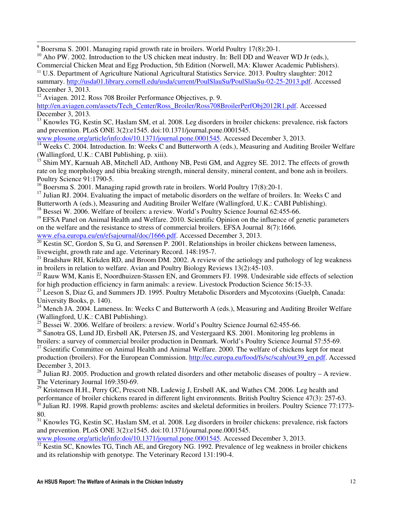$9^9$  Boersma S. 2001. Managing rapid growth rate in broilers. World Poultry 17(8):20-1.

 $10$  Aho PW. 2002. Introduction to the US chicken meat industry. In: Bell DD and Weaver WD Jr (eds.),

Commercial Chicken Meat and Egg Production, 5th Edition (Norwell, MA: Kluwer Academic Publishers). <sup>11</sup> U.S. Department of Agriculture National Agricultural Statistics Service. 2013. Poultry slaughter: 2012 summary. http://usda01.library.cornell.edu/usda/current/PoulSlauSu/PoulSlauSu-02-25-2013.pdf. Accessed

December 3, 2013.

l

<sup>12</sup> Aviagen. 2012. Ross 708 Broiler Performance Objectives, p. 9.

http://en.aviagen.com/assets/Tech\_Center/Ross\_Broiler/Ross708BroilerPerfObj2012R1.pdf. Accessed December 3, 2013.

<sup>13</sup> Knowles TG, Kestin SC, Haslam SM, et al. 2008. Leg disorders in broiler chickens: prevalence, risk factors and prevention. PLoS ONE 3(2):e1545. doi:10.1371/journal.pone.0001545.

www.plosone.org/article/info:doi/10.1371/journal.pone.0001545. Accessed December 3, 2013.

<sup>14</sup> Weeks C. 2004. Introduction. In: Weeks C and Butterworth A (eds.), Measuring and Auditing Broiler Welfare (Wallingford, U.K.: CABI Publishing, p. xiii).

<sup>15</sup> Shim MY, Karnuah AB, Mitchell AD, Anthony NB, Pesti GM, and Aggrey SE. 2012. The effects of growth rate on leg morphology and tibia breaking strength, mineral density, mineral content, and bone ash in broilers. Poultry Science 91:1790-5.

<sup>16</sup> Boersma S. 2001. Managing rapid growth rate in broilers. World Poultry 17(8):20-1.

<sup>17</sup> Julian RJ. 2004. Evaluating the impact of metabolic disorders on the welfare of broilers. In: Weeks C and Butterworth A (eds.), Measuring and Auditing Broiler Welfare (Wallingford, U.K.: CABI Publishing).

<sup>18</sup> Bessei W. 2006. Welfare of broilers: a review. World's Poultry Science Journal 62:455-66.

<sup>19</sup> EFSA Panel on Animal Health and Welfare. 2010. Scientific Opinion on the influence of genetic parameters on the welfare and the resistance to stress of commercial broilers. EFSA Journal 8(7):1666.

www.efsa.europa.eu/en/efsajournal/doc/1666.pdf. Accessed December 3, 2013.

 $\frac{20}{20}$  Kestin SC, Gordon S, Su G, and Sørensen P. 2001. Relationships in broiler chickens between lameness, liveweight, growth rate and age. Veterinary Record. 148:195-7.

 $^{21}$  Bradshaw RH, Kirkden RD, and Broom DM. 2002. A review of the aetiology and pathology of leg weakness in broilers in relation to welfare. Avian and Poultry Biology Reviews 13(2):45-103.

<sup>22</sup> Rauw WM, Kanis E, Noordhuizen-Stassen EN, and Grommers FJ. 1998. Undesirable side effects of selection for high production efficiency in farm animals: a review. Livestock Production Science 56:15-33.

 $^{23}$  Leeson S, Diaz G, and Summers JD. 1995. Poultry Metabolic Disorders and Mycotoxins (Guelph, Canada: University Books, p. 140).

<sup>24</sup> Mench JA. 2004. Lameness. In: Weeks C and Butterworth A (eds.), Measuring and Auditing Broiler Welfare (Wallingford, U.K.: CABI Publishing).

 $25$  Bessei W. 2006. Welfare of broilers: a review. World's Poultry Science Journal 62:455-66.

 $^{26}$  Sanotra GS, Lund JD, Ersbøll AK, Petersen JS, and Vestergaard KS, 2001. Monitoring leg problems in broilers: a survey of commercial broiler production in Denmark. World's Poultry Science Journal 57:55-69.

<sup>27</sup> Scientific Committee on Animal Health and Animal Welfare. 2000. The welfare of chickens kept for meat production (broilers). For the European Commission. http://ec.europa.eu/food/fs/sc/scah/out39\_en.pdf. Accessed December 3, 2013.

 $^{28}$  Julian RJ. 2005. Production and growth related disorders and other metabolic diseases of poultry – A review. The Veterinary Journal 169:350-69.

<sup>29</sup> Kristensen H.H., Perry GC, Prescott NB, Ladewig J, Ersbøll AK, and Wathes CM. 2006. Leg health and performance of broiler chickens reared in different light environments. British Poultry Science 47(3): 257-63.  $30$  Julian RJ. 1998. Rapid growth problems: ascites and skeletal deformities in broilers. Poultry Science 77:1773-

80.

<sup>31</sup> Knowles TG, Kestin SC, Haslam SM, et al. 2008. Leg disorders in broiler chickens: prevalence, risk factors and prevention. PLoS ONE 3(2):e1545. doi:10.1371/journal.pone.0001545.

www.plosone.org/article/info:doi/10.1371/journal.pone.0001545. Accessed December 3, 2013.

 $32$  Kestin SC, Knowles TG, Tinch AE, and Gregory NG. 1992. Prevalence of leg weakness in broiler chickens and its relationship with genotype. The Veterinary Record 131:190-4.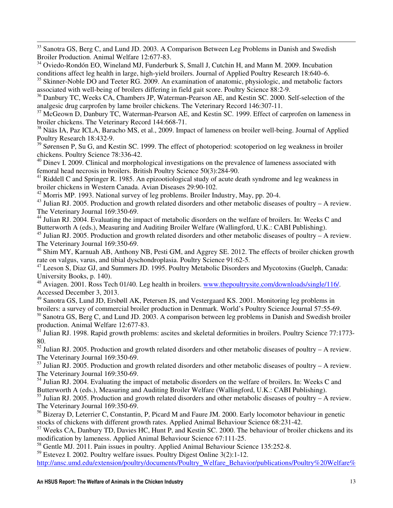<sup>33</sup> Sanotra GS, Berg C, and Lund JD. 2003. A Comparison Between Leg Problems in Danish and Swedish Broiler Production. Animal Welfare 12:677-83.

l

<sup>34</sup> Oviedo-Rondón EO, Wineland MJ, Funderburk S, Small J, Cutchin H, and Mann M. 2009. Incubation conditions affect leg health in large, high-yield broilers. Journal of Applied Poultry Research 18:640–6.

<sup>35</sup> Skinner-Noble DO and Teeter RG. 2009. An examination of anatomic, physiologic, and metabolic factors associated with well-being of broilers differing in field gait score. Poultry Science 88:2-9.

<sup>36</sup> Danbury TC, Weeks CA, Chambers JP, Waterman-Pearson AE, and Kestin SC. 2000. Self-selection of the analgesic drug carprofen by lame broiler chickens. The Veterinary Record 146:307-11.

<sup>37</sup> McGeown D, Danbury TC, Waterman-Pearson AE, and Kestin SC. 1999. Effect of carprofen on lameness in broiler chickens. The Veterinary Record 144:668-71.

<sup>38</sup> Nääs IA, Paz ICLA, Baracho MS, et al., 2009. Impact of lameness on broiler well-being. Journal of Applied Poultry Research 18:432-9.

 $39$  Sørensen P, Su G, and Kestin SC. 1999. The effect of photoperiod: scotoperiod on leg weakness in broiler chickens. Poultry Science 78:336-42.

 $40$  Dinev I. 2009. Clinical and morphological investigations on the prevalence of lameness associated with femoral head necrosis in broilers. British Poultry Science 50(3):284-90.

 $^{41}$  Riddell C and Springer R. 1985. An epizootiological study of acute death syndrome and leg weakness in broiler chickens in Western Canada. Avian Diseases 29:90-102.

<sup>42</sup> Morris MP. 1993. National survey of leg problems. Broiler Industry, May, pp. 20-4.

<sup>43</sup> Julian RJ. 2005. Production and growth related disorders and other metabolic diseases of poultry – A review. The Veterinary Journal 169:350-69.

<sup>44</sup> Julian RJ. 2004. Evaluating the impact of metabolic disorders on the welfare of broilers. In: Weeks C and Butterworth A (eds.), Measuring and Auditing Broiler Welfare (Wallingford, U.K.: CABI Publishing).

 $45$  Julian RJ. 2005. Production and growth related disorders and other metabolic diseases of poultry – A review. The Veterinary Journal 169:350-69.

<sup>46</sup> Shim MY, Karnuah AB, Anthony NB, Pesti GM, and Aggrey SE. 2012. The effects of broiler chicken growth rate on valgus, varus, and tibial dyschondroplasia. Poultry Science 91:62-5.

<sup>47</sup> Leeson S, Diaz GJ, and Summers JD. 1995. Poultry Metabolic Disorders and Mycotoxins (Guelph, Canada: University Books, p. 140).

<sup>48</sup> Aviagen. 2001. Ross Tech 01/40. Leg health in broilers. www.thepoultrysite.com/downloads/single/116/. Accessed December 3, 2013.

<sup>49</sup> Sanotra GS, Lund JD, Ersbøll AK, Petersen JS, and Vestergaard KS. 2001. Monitoring leg problems in broilers: a survey of commercial broiler production in Denmark. World's Poultry Science Journal 57:55-69.

<sup>50</sup> Sanotra GS, Berg C, and Lund JD. 2003. A comparison between leg problems in Danish and Swedish broiler production. Animal Welfare 12:677-83.

<sup>51</sup> Julian RJ. 1998. Rapid growth problems: ascites and skeletal deformities in broilers. Poultry Science 77:1773-80.

 $52$  Julian RJ. 2005. Production and growth related disorders and other metabolic diseases of poultry – A review. The Veterinary Journal 169:350-69.

 $53$  Julian RJ. 2005. Production and growth related disorders and other metabolic diseases of poultry – A review. The Veterinary Journal 169:350-69.

 $54$  Julian RJ. 2004. Evaluating the impact of metabolic disorders on the welfare of broilers. In: Weeks C and Butterworth A (eds.), Measuring and Auditing Broiler Welfare (Wallingford, U.K.: CABI Publishing).

<sup>55</sup> Julian RJ. 2005. Production and growth related disorders and other metabolic diseases of poultry – A review. The Veterinary Journal 169:350-69.

<sup>56</sup> Bizeray D, Leterrier C, Constantin, P, Picard M and Faure JM. 2000. Early locomotor behaviour in genetic stocks of chickens with different growth rates. Applied Animal Behaviour Science 68:231-42.

<sup>57</sup> Weeks CA, Danbury TD, Davies HC, Hunt P, and Kestin SC. 2000. The behaviour of broiler chickens and its modification by lameness. Applied Animal Behaviour Science 67:111-25.

<sup>58</sup> Gentle MJ. 2011. Pain issues in poultry. Applied Animal Behaviour Science 135:252-8.

<sup>59</sup> Estevez I. 2002. Poultry welfare issues. Poultry Digest Online 3(2):1-12.

http://ansc.umd.edu/extension/poultry/documents/Poultry\_Welfare\_Behavior/publications/Poultry%20Welfare%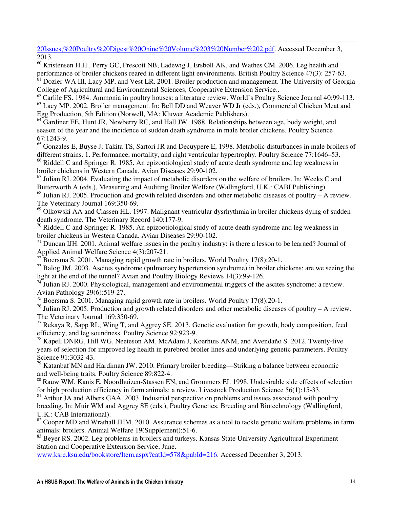20Issues,%20Poultry%20Digest%20Onine%20Volume%203%20Number%202.pdf. Accessed December 3, 2013.

l

<sup>60</sup> Kristensen H.H., Perry GC, Prescott NB, Ladewig J, Ersbøll AK, and Wathes CM. 2006. Leg health and performance of broiler chickens reared in different light environments. British Poultry Science 47(3): 257-63.

<sup>61</sup> Dozier WA III, Lacy MP, and Vest LR. 2001. Broiler production and management. The University of Georgia College of Agricultural and Environmental Sciences, Cooperative Extension Service..

<sup>62</sup> Carlile FS. 1984. Ammonia in poultry houses: a literature review. World's Poultry Science Journal 40:99-113. <sup>63</sup> Lacy MP. 2002. Broiler management. In: Bell DD and Weaver WD Jr (eds.), Commercial Chicken Meat and Egg Production, 5th Edition (Norwell, MA: Kluwer Academic Publishers).

<sup>64</sup> Gardiner EE, Hunt JR, Newberry RC, and Hall JW. 1988. Relationships between age, body weight, and season of the year and the incidence of sudden death syndrome in male broiler chickens. Poultry Science 67:1243-9.

 $<sup>65</sup>$  Gonzales E, Buyse J, Takita TS, Sartori JR and Decuypere E, 1998. Metabolic disturbances in male broilers of</sup> different strains. 1. Performance, mortality, and right ventricular hypertrophy. Poultry Science 77:1646–53.

<sup>66</sup> Riddell C and Springer R. 1985. An epizootiological study of acute death syndrome and leg weakness in broiler chickens in Western Canada. Avian Diseases 29:90-102.

 $67$  Julian RJ. 2004. Evaluating the impact of metabolic disorders on the welfare of broilers. In: Weeks C and Butterworth A (eds.), Measuring and Auditing Broiler Welfare (Wallingford, U.K.: CABI Publishing).

 $68$  Julian RJ. 2005. Production and growth related disorders and other metabolic diseases of poultry – A review. The Veterinary Journal 169:350-69.

 $^{69}$  Olkowski AA and Classen HL. 1997. Malignant ventricular dysrhythmia in broiler chickens dying of sudden death syndrome. The Veterinary Record 140:177-9.

<sup>70</sup> Riddell C and Springer R. 1985. An epizootiological study of acute death syndrome and leg weakness in broiler chickens in Western Canada. Avian Diseases 29:90-102.

 $71$  Duncan IJH. 2001. Animal welfare issues in the poultry industry: is there a lesson to be learned? Journal of Applied Animal Welfare Science 4(3):207-21.

<sup>72</sup> Boersma S. 2001. Managing rapid growth rate in broilers. World Poultry 17(8):20-1.

<sup>73</sup> Balog JM. 2003. Ascites syndrome (pulmonary hypertension syndrome) in broiler chickens: are we seeing the light at the end of the tunnel? Avian and Poultry Biology Reviews 14(3):99-126.

 $74$  Julian RJ. 2000. Physiological, management and environmental triggers of the ascites syndrome: a review. Avian Pathology 29(6):519-27.

<sup>75</sup> Boersma S. 2001. Managing rapid growth rate in broilers. World Poultry 17(8):20-1.

<sup>76</sup> Julian RJ. 2005. Production and growth related disorders and other metabolic diseases of poultry – A review. The Veterinary Journal 169:350-69.

 $^{77}$  Rekaya R, Sapp RL, Wing T, and Aggrey SE. 2013. Genetic evaluation for growth, body composition, feed efficiency, and leg soundness. Poultry Science 92:923-9.

<sup>78</sup> Kapell DNRG, Hill WG, Neeteson AM, McAdam J, Koerhuis ANM, and Avendaño S. 2012. Twenty-five years of selection for improved leg health in purebred broiler lines and underlying genetic parameters. Poultry Science 91:3032-43.

<sup>79</sup> Katanbaf MN and Hardiman JW. 2010. Primary broiler breeding—Striking a balance between economic and well-being traits. Poultry Science 89:822-4.

<sup>80</sup> Rauw WM, Kanis E, Noordhuizen-Stassen EN, and Grommers FJ. 1998. Undesirable side effects of selection for high production efficiency in farm animals: a review. Livestock Production Science 56(1):15-33.

<sup>81</sup> Arthur JA and Albers GAA. 2003. Industrial perspective on problems and issues associated with poultry breeding. In: Muir WM and Aggrey SE (eds.), Poultry Genetics, Breeding and Biotechnology (Wallingford, U.K.: CAB International).

<sup>82</sup> Cooper MD and Wrathall JHM. 2010. Assurance schemes as a tool to tackle genetic welfare problems in farm animals: broilers. Animal Welfare 19(Supplement):51-6.

<sup>83</sup> Beyer RS. 2002. Leg problems in broilers and turkeys. Kansas State University Agricultural Experiment Station and Cooperative Extension Service, June.

www.ksre.ksu.edu/bookstore/Item.aspx?catId=578&pubId=216. Accessed December 3, 2013.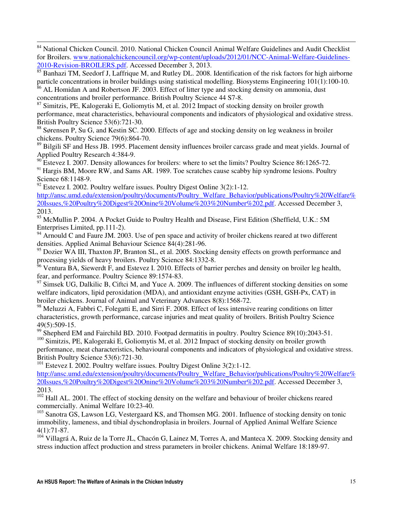<sup>84</sup> National Chicken Council. 2010. National Chicken Council Animal Welfare Guidelines and Audit Checklist for Broilers. www.nationalchickencouncil.org/wp-content/uploads/2012/01/NCC-Animal-Welfare-Guidelines-2010-Revision-BROILERS.pdf. Accessed December 3, 2013.

85 Banhazi TM, Seedorf J, Laffrique M, and Rutley DL. 2008. Identification of the risk factors for high airborne particle concentrations in broiler buildings using statistical modelling. Biosystems Engineering 101(1):100-10.

 $86$  AL Homidan A and Robertson JF. 2003. Effect of litter type and stocking density on ammonia, dust concentrations and broiler performance. British Poultry Science 44 S7-8.

 $87$  Simitzis, PE, Kalogeraki E, Goliomytis M, et al. 2012 Impact of stocking density on broiler growth performance, meat characteristics, behavioural components and indicators of physiological and oxidative stress. British Poultry Science 53(6):721-30.

<sup>88</sup> Sørensen P, Su G, and Kestin SC. 2000. Effects of age and stocking density on leg weakness in broiler chickens. Poultry Science 79(6):864-70.

<sup>89</sup> Bilgili SF and Hess JB. 1995. Placement density influences broiler carcass grade and meat yields. Journal of Applied Poultry Research 4:384-9.

<sup>90</sup> Estevez I. 2007. Density allowances for broilers: where to set the limits? Poultry Science 86:1265-72.

<sup>91</sup> Hargis BM, Moore RW, and Sams AR. 1989. Toe scratches cause scabby hip syndrome lesions. Poultry Science 68:1148-9.

<sup>92</sup> Estevez I. 2002. Poultry welfare issues. Poultry Digest Online 3(2):1-12.

l

http://ansc.umd.edu/extension/poultry/documents/Poultry\_Welfare\_Behavior/publications/Poultry%20Welfare% 20Issues,%20Poultry%20Digest%20Onine%20Volume%203%20Number%202.pdf. Accessed December 3, 2013.

<sup>93</sup> McMullin P. 2004. A Pocket Guide to Poultry Health and Disease, First Edition (Sheffield, U.K.: 5M) Enterprises Limited, pp.111-2).

<sup>94</sup> Arnould C and Faure JM. 2003. Use of pen space and activity of broiler chickens reared at two different densities. Applied Animal Behaviour Science 84(4):281-96.

 $95$  Dozier WA III, Thaxton JP, Branton SL, et al. 2005. Stocking density effects on growth performance and processing yields of heavy broilers. Poultry Science 84:1332-8.

 $96$  Ventura BA, Siewerdt F, and Estevez I. 2010. Effects of barrier perches and density on broiler leg health, fear, and performance. Poultry Science 89:1574-83.

 $97$  Simsek UG, Dalkilic B, Ciftci M, and Yuce A. 2009. The influences of different stocking densities on some welfare indicators, lipid peroxidation (MDA), and antioxidant enzyme activities (GSH, GSH-Px, CAT) in broiler chickens. Journal of Animal and Veterinary Advances 8(8):1568-72.

<sup>98</sup> Meluzzi A, Fabbri C, Folegatti E, and Sirri F. 2008. Effect of less intensive rearing conditions on litter characteristics, growth performance, carcase injuries and meat quality of broilers. British Poultry Science 49(5):509-15.

<sup>99</sup> Shepherd EM and Fairchild BD. 2010. Footpad dermatitis in poultry. Poultry Science 89(10):2043-51.

<sup>100</sup> Simitzis, PE, Kalogeraki E, Goliomytis M, et al. 2012 Impact of stocking density on broiler growth performance, meat characteristics, behavioural components and indicators of physiological and oxidative stress. British Poultry Science 53(6):721-30.

 $101$  Estevez I. 2002. Poultry welfare issues. Poultry Digest Online 3(2):1-12.

http://ansc.umd.edu/extension/poultry/documents/Poultry\_Welfare\_Behavior/publications/Poultry%20Welfare% 20Issues,%20Poultry%20Digest%20Onine%20Volume%203%20Number%202.pdf. Accessed December 3, 2013.

<sup>102</sup> Hall AL. 2001. The effect of stocking density on the welfare and behaviour of broiler chickens reared commercially. Animal Welfare 10:23-40.

<sup>103</sup> Sanotra GS, Lawson LG, Vestergaard KS, and Thomsen MG. 2001. Influence of stocking density on tonic immobility, lameness, and tibial dyschondroplasia in broilers. Journal of Applied Animal Welfare Science 4(1):71-87.

 $104$  Villagrá A, Ruiz de la Torre JL, Chacón G, Lainez M, Torres A, and Manteca X, 2009. Stocking density and stress induction affect production and stress parameters in broiler chickens. Animal Welfare 18:189-97.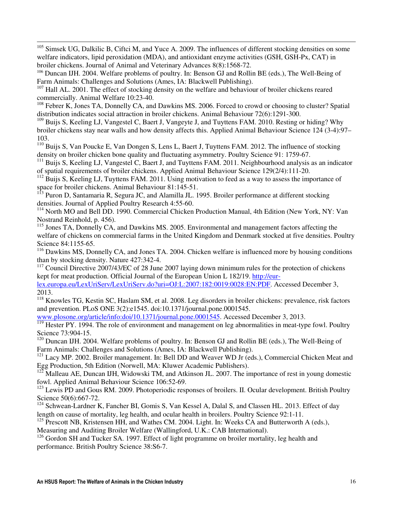<sup>105</sup> Simsek UG, Dalkilic B, Ciftci M, and Yuce A. 2009. The influences of different stocking densities on some welfare indicators, lipid peroxidation (MDA), and antioxidant enzyme activities (GSH, GSH-Px, CAT) in broiler chickens. Journal of Animal and Veterinary Advances 8(8):1568-72.

<sup>106</sup> Duncan IJH. 2004. Welfare problems of poultry. In: Benson GJ and Rollin BE (eds.), The Well-Being of Farm Animals: Challenges and Solutions (Ames, IA: Blackwell Publishing).

<sup>107</sup> Hall AL. 2001. The effect of stocking density on the welfare and behaviour of broiler chickens reared commercially. Animal Welfare 10:23-40.

l

<sup>108</sup> Febrer K, Jones TA, Donnelly CA, and Dawkins MS. 2006. Forced to crowd or choosing to cluster? Spatial distribution indicates social attraction in broiler chickens. Animal Behaviour 72(6):1291-300.

 $109$  Buijs S, Keeling LJ, Vangestel C, Baert J, Vangeyte J, and Tuyttens FAM. 2010. Resting or hiding? Why broiler chickens stay near walls and how density affects this. Applied Animal Behaviour Science 124 (3-4):97– 103.

<sup>110</sup> Buijs S, Van Poucke E, Van Dongen S, Lens L, Baert J, Tuyttens FAM. 2012. The influence of stocking density on broiler chicken bone quality and fluctuating asymmetry. Poultry Science 91: 1759-67.

<sup>111</sup> Buijs S, Keeling LJ, Vangestel C, Baert J, and Tuyttens FAM. 2011. Neighbourhood analysis as an indicator of spatial requirements of broiler chickens. Applied Animal Behaviour Science 129(2/4):111-20.

 $112$  Buijs S, Keeling LJ, Tuyttens FAM. 2011. Using motivation to feed as a way to assess the importance of space for broiler chickens. Animal Behaviour 81:145-51.

<sup>113</sup> Puron D, Santamaria R, Segura JC, and Alamilla JL. 1995. Broiler performance at different stocking densities. Journal of Applied Poultry Research 4:55-60.

<sup>114</sup> North MO and Bell DD. 1990. Commercial Chicken Production Manual, 4th Edition (New York, NY: Van Nostrand Reinhold, p. 456).

<sup>115</sup> Jones TA, Donnelly CA, and Dawkins MS. 2005. Environmental and management factors affecting the welfare of chickens on commercial farms in the United Kingdom and Denmark stocked at five densities. Poultry Science 84:1155-65.

<sup>116</sup> Dawkins MS, Donnelly CA, and Jones TA, 2004. Chicken welfare is influenced more by housing conditions than by stocking density. Nature 427:342-4.

 $117$  Council Directive 2007/43/EC of 28 June 2007 laying down minimum rules for the protection of chickens kept for meat production. Official Journal of the European Union L 182/19. http://eur-

lex.europa.eu/LexUriServ/LexUriServ.do?uri=OJ:L:2007:182:0019:0028:EN:PDF. Accessed December 3, 2013.

<sup>118</sup> Knowles TG, Kestin SC, Haslam SM, et al. 2008. Leg disorders in broiler chickens: prevalence, risk factors and prevention. PLoS ONE 3(2):e1545. doi:10.1371/journal.pone.0001545.

www.plosone.org/article/info:doi/10.1371/journal.pone.0001545. Accessed December 3, 2013.

 $119$  Hester PY. 1994. The role of environment and management on leg abnormalities in meat-type fowl. Poultry Science 73:904-15.

<sup>120</sup> Duncan IJH. 2004. Welfare problems of poultry. In: Benson GJ and Rollin BE (eds.), The Well-Being of Farm Animals: Challenges and Solutions (Ames, IA: Blackwell Publishing).

<sup>121</sup> Lacy MP. 2002. Broiler management. In: Bell DD and Weaver WD Jr (eds.), Commercial Chicken Meat and Egg Production, 5th Edition (Norwell, MA: Kluwer Academic Publishers).

Malleau AE, Duncan IJH, Widowski TM, and Atkinson JL. 2007. The importance of rest in young domestic fowl. Applied Animal Behaviour Science 106:52-69.

 $123$  Lewis PD and Gous RM. 2009. Photoperiodic responses of broilers. II. Ocular development. British Poultry Science 50(6):667-72.

<sup>124</sup> Schwean-Lardner K, Fancher BI, Gomis S, Van Kessel A, Dalal S, and Classen HL. 2013. Effect of day length on cause of mortality, leg health, and ocular health in broilers. Poultry Science 92:1-11.

<sup>125</sup> Prescott NB, Kristensen HH, and Wathes CM. 2004. Light. In: Weeks CA and Butterworth A (eds.), Measuring and Auditing Broiler Welfare (Wallingford, U.K.: CAB International).

<sup>126</sup> Gordon SH and Tucker SA, 1997. Effect of light programme on broiler mortality, leg health and performance. British Poultry Science 38:S6-7.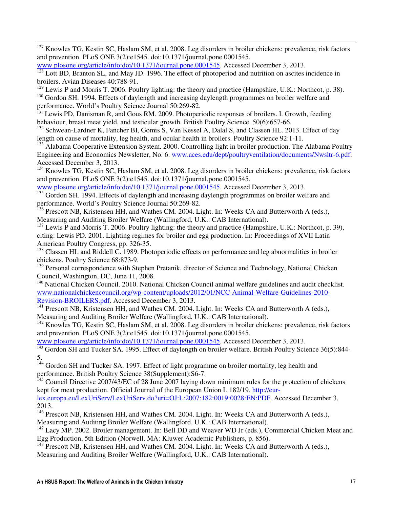$127$  Knowles TG, Kestin SC, Haslam SM, et al. 2008. Leg disorders in broiler chickens: prevalence, risk factors and prevention. PLoS ONE 3(2):e1545. doi:10.1371/journal.pone.0001545.

```
www.plosone.org/article/info:doi/10.1371/journal.pone.0001545. Accessed December 3, 2013.
```
<sup>128</sup> Lott BD, Branton SL, and May JD. 1996. The effect of photoperiod and nutrition on ascites incidence in broilers. Avian Diseases 40:788-91.

<sup>129</sup> Lewis P and Morris T. 2006. Poultry lighting: the theory and practice (Hampshire, U.K.: Northcot, p. 38).

<sup>130</sup> Gordon SH. 1994. Effects of daylength and increasing daylength programmes on broiler welfare and performance. World's Poultry Science Journal 50:269-82.

<sup>131</sup> Lewis PD, Danisman R, and Gous RM. 2009. Photoperiodic responses of broilers. I. Growth, feeding behaviour, breast meat yield, and testicular growth. British Poultry Science. 50(6):657-66.

<sup>132</sup> Schwean-Lardner K, Fancher BI, Gomis S, Van Kessel A, Dalal S, and Classen HL. 2013. Effect of day length on cause of mortality, leg health, and ocular health in broilers. Poultry Science 92:1-11.

<sup>133</sup> Alabama Cooperative Extension System. 2000. Controlling light in broiler production. The Alabama Poultry Engineering and Economics Newsletter, No. 6. www.aces.edu/dept/poultryventilation/documents/Nwsltr-6.pdf. Accessed December 3, 2013.

<sup>134</sup> Knowles TG, Kestin SC, Haslam SM, et al. 2008. Leg disorders in broiler chickens: prevalence, risk factors and prevention. PLoS ONE 3(2):e1545. doi:10.1371/journal.pone.0001545.

www.plosone.org/article/info:doi/10.1371/journal.pone.0001545. Accessed December 3, 2013.

<sup>135</sup> Gordon SH. 1994. Effects of daylength and increasing daylength programmes on broiler welfare and performance. World's Poultry Science Journal 50:269-82.

<sup>136</sup> Prescott NB, Kristensen HH, and Wathes CM, 2004. Light. In: Weeks CA and Butterworth A (eds.), Measuring and Auditing Broiler Welfare (Wallingford, U.K.: CAB International).

<sup>137</sup> Lewis P and Morris T. 2006. Poultry lighting: the theory and practice (Hampshire, U.K.: Northcot, p. 39), citing: Lewis PD. 2001. Lighting regimes for broiler and egg production. In: Proceedings of XVII Latin American Poultry Congress, pp. 326-35.

<sup>138</sup> Classen HL and Riddell C. 1989. Photoperiodic effects on performance and leg abnormalities in broiler chickens. Poultry Science 68:873-9.

<sup>139</sup> Personal correspondence with Stephen Pretanik, director of Science and Technology, National Chicken Council, Washington, DC, June 11, 2008.

<sup>140</sup> National Chicken Council. 2010. National Chicken Council animal welfare guidelines and audit checklist. www.nationalchickencouncil.org/wp-content/uploads/2012/01/NCC-Animal-Welfare-Guidelines-2010- Revision-BROILERS.pdf. Accessed December 3, 2013.

<sup>141</sup> Prescott NB, Kristensen HH, and Wathes CM. 2004. Light. In: Weeks CA and Butterworth A (eds.), Measuring and Auditing Broiler Welfare (Wallingford, U.K.: CAB International).

<sup>142</sup> Knowles TG, Kestin SC, Haslam SM, et al. 2008. Leg disorders in broiler chickens: prevalence, risk factors and prevention. PLoS ONE 3(2):e1545. doi:10.1371/journal.pone.0001545.

www.plosone.org/article/info:doi/10.1371/journal.pone.0001545. Accessed December 3, 2013.

<sup>143</sup> Gordon SH and Tucker SA. 1995. Effect of daylength on broiler welfare. British Poultry Science 36(5):844-5.

<sup>144</sup> Gordon SH and Tucker SA. 1997. Effect of light programme on broiler mortality, leg health and performance. British Poultry Science 38(Supplement):S6-7.

 $\frac{145}{145}$  Council Directive 2007/43/EC of 28 June 2007 laying down minimum rules for the protection of chickens kept for meat production. Official Journal of the European Union L 182/19. http://eurlex.europa.eu/LexUriServ/LexUriServ.do?uri=OJ:L:2007:182:0019:0028:EN:PDF. Accessed December 3,

2013.

l

<sup>146</sup> Prescott NB, Kristensen HH, and Wathes CM. 2004. Light. In: Weeks CA and Butterworth A (eds.), Measuring and Auditing Broiler Welfare (Wallingford, U.K.: CAB International).

<sup>147</sup> Lacy MP. 2002. Broiler management. In: Bell DD and Weaver WD Jr (eds.), Commercial Chicken Meat and Egg Production, 5th Edition (Norwell, MA: Kluwer Academic Publishers, p. 856).

 $^{148}$  Prescott NB, Kristensen HH, and Wathes CM. 2004. Light. In: Weeks CA and Butterworth A (eds.), Measuring and Auditing Broiler Welfare (Wallingford, U.K.: CAB International).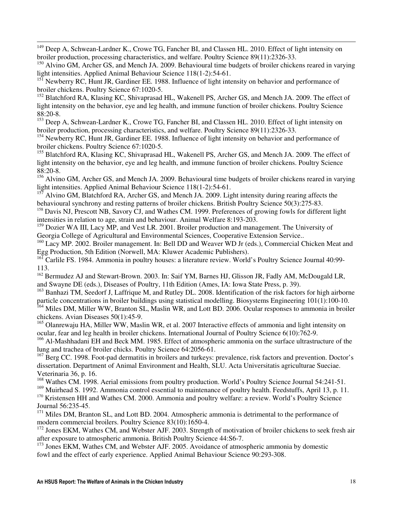<sup>149</sup> Deep A, Schwean-Lardner K., Crowe TG, Fancher BI, and Classen HL. 2010. Effect of light intensity on broiler production, processing characteristics, and welfare. Poultry Science 89(11):2326-33.

l

<sup>150</sup> Alvino GM, Archer GS, and Mench JA. 2009. Behavioural time budgets of broiler chickens reared in varying light intensities. Applied Animal Behaviour Science 118(1-2):54-61.

 $15\overline{1}$  Newberry RC, Hunt JR, Gardiner EE. 1988. Influence of light intensity on behavior and performance of broiler chickens. Poultry Science 67:1020-5.

<sup>152</sup> Blatchford RA, Klasing KC, Shivaprasad HL, Wakenell PS, Archer GS, and Mench JA. 2009. The effect of light intensity on the behavior, eye and leg health, and immune function of broiler chickens. Poultry Science 88:20-8.

<sup>153</sup> Deep A, Schwean-Lardner K., Crowe TG, Fancher BI, and Classen HL. 2010. Effect of light intensity on broiler production, processing characteristics, and welfare. Poultry Science 89(11):2326-33.

<sup>154</sup> Newberry RC, Hunt JR, Gardiner EE. 1988. Influence of light intensity on behavior and performance of broiler chickens. Poultry Science 67:1020-5.

<sup>155</sup> Blatchford RA, Klasing KC, Shivaprasad HL, Wakenell PS, Archer GS, and Mench JA. 2009. The effect of light intensity on the behavior, eye and leg health, and immune function of broiler chickens. Poultry Science 88:20-8.

<sup>156</sup> Alvino GM, Archer GS, and Mench JA. 2009. Behavioural time budgets of broiler chickens reared in varying light intensities. Applied Animal Behaviour Science 118(1-2):54-61.

 $157$  Alvino GM, Blatchford RA, Archer GS, and Mench JA. 2009. Light intensity during rearing affects the behavioural synchrony and resting patterns of broiler chickens. British Poultry Science 50(3):275-83.

<sup>158</sup> Davis NJ, Prescott NB, Savory CJ, and Wathes CM. 1999. Preferences of growing fowls for different light intensities in relation to age, strain and behaviour. Animal Welfare 8:193-203.

<sup>159</sup> Dozier WA III, Lacy MP, and Vest LR. 2001. Broiler production and management. The University of Georgia College of Agricultural and Environmental Sciences, Cooperative Extension Service..

<sup>160</sup> Lacy MP. 2002. Broiler management. In: Bell DD and Weaver WD Jr (eds.), Commercial Chicken Meat and Egg Production, 5th Edition (Norwell, MA: Kluwer Academic Publishers).

<sup>161</sup> Carlile FS. 1984. Ammonia in poultry houses: a literature review. World's Poultry Science Journal 40:99-113.

<sup>162</sup> Bermudez AJ and Stewart-Brown. 2003. In: Saif YM, Barnes HJ, Glisson JR, Fadly AM, McDougald LR, and Swayne DE (eds.), Diseases of Poultry, 11th Edition (Ames, IA: Iowa State Press, p. 39).

<sup>163</sup> Banhazi TM, Seedorf J, Laffrique M, and Rutley DL. 2008. Identification of the risk factors for high airborne particle concentrations in broiler buildings using statistical modelling. Biosystems Engineering 101(1):100-10.

<sup>164</sup> Miles DM, Miller WW, Branton SL, Maslin WR, and Lott BD. 2006. Ocular responses to ammonia in broiler chickens. Avian Diseases 50(1):45-9.

<sup>165</sup> Olanrewaju HA, Miller WW, Maslin WR, et al. 2007 Interactive effects of ammonia and light intensity on ocular, fear and leg health in broiler chickens. International Journal of Poultry Science 6(10):762-9.

<sup>166</sup> Al-Mashhadani EH and Beck MM. 1985. Effect of atmospheric ammonia on the surface ultrastructure of the lung and trachea of broiler chicks. Poultry Science 64:2056-61.

 $^{167}$  Berg CC. 1998. Foot-pad dermatitis in broilers and turkeys: prevalence, risk factors and prevention. Doctor's dissertation. Department of Animal Environment and Health, SLU. Acta Universitatis agriculturae Sueciae. Veterinaria 36, p. 16.

<sup>168</sup> Wathes CM. 1998. Aerial emissions from poultry production. World's Poultry Science Journal 54:241-51.

<sup>169</sup> Muirhead S. 1992. Ammonia control essential to maintenance of poultry health. Feedstuffs, April 13, p. 11. <sup>170</sup> Kristensen HH and Wathes CM. 2000. Ammonia and poultry welfare: a review. World's Poultry Science Journal 56:235-45.

<sup>171</sup> Miles DM, Branton SL, and Lott BD. 2004. Atmospheric ammonia is detrimental to the performance of modern commercial broilers. Poultry Science 83(10):1650-4.

<sup>172</sup> Jones EKM, Wathes CM, and Webster AJF. 2003. Strength of motivation of broiler chickens to seek fresh air after exposure to atmospheric ammonia. British Poultry Science 44:S6-7.

<sup>173</sup> Jones EKM, Wathes CM, and Webster AJF. 2005. Avoidance of atmospheric ammonia by domestic fowl and the effect of early experience. Applied Animal Behaviour Science 90:293-308.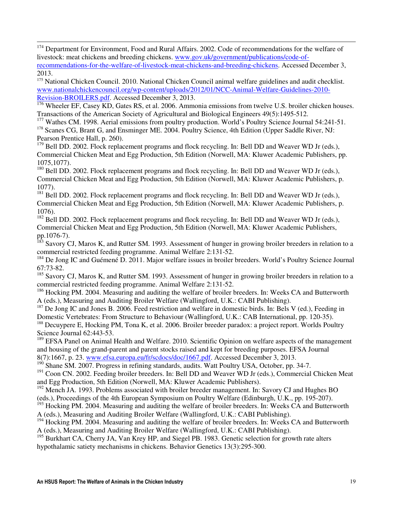<sup>174</sup> Department for Environment, Food and Rural Affairs. 2002. Code of recommendations for the welfare of livestock: meat chickens and breeding chickens. www.gov.uk/government/publications/code-ofrecommendations-for-the-welfare-of-livestock-meat-chickens-and-breeding-chickens. Accessed December 3, 2013.

l

<sup>175</sup> National Chicken Council. 2010. National Chicken Council animal welfare guidelines and audit checklist. www.nationalchickencouncil.org/wp-content/uploads/2012/01/NCC-Animal-Welfare-Guidelines-2010- Revision-BROILERS.pdf. Accessed December 3, 2013.

**176** Wheeler EF, Casey KD, Gates RS, et al. 2006. Ammonia emissions from twelve U.S. broiler chicken houses. Transactions of the American Society of Agricultural and Biological Engineers 49(5):1495-512.

<sup>177</sup> Wathes CM. 1998. Aerial emissions from poultry production. World's Poultry Science Journal 54:241-51.

<sup>178</sup> Scanes CG, Brant G, and Ensminger ME. 2004. Poultry Science, 4th Edition (Upper Saddle River, NJ: Pearson Prentice Hall, p. 260).

 $179$  Bell DD. 2002. Flock replacement programs and flock recycling. In: Bell DD and Weaver WD Jr (eds.), Commercial Chicken Meat and Egg Production, 5th Edition (Norwell, MA: Kluwer Academic Publishers, pp. 1075,1077).

<sup>180</sup> Bell DD. 2002. Flock replacement programs and flock recycling. In: Bell DD and Weaver WD Jr (eds.), Commercial Chicken Meat and Egg Production, 5th Edition (Norwell, MA: Kluwer Academic Publishers, p. 1077).

<sup>181</sup> Bell DD. 2002. Flock replacement programs and flock recycling. In: Bell DD and Weaver WD Jr (eds.), Commercial Chicken Meat and Egg Production, 5th Edition (Norwell, MA: Kluwer Academic Publishers, p. 1076).

<sup>182</sup> Bell DD. 2002. Flock replacement programs and flock recycling. In: Bell DD and Weaver WD Jr (eds.), Commercial Chicken Meat and Egg Production, 5th Edition (Norwell, MA: Kluwer Academic Publishers, pp.1076-7).

Savory CJ, Maros K, and Rutter SM. 1993. Assessment of hunger in growing broiler breeders in relation to a commercial restricted feeding programme. Animal Welfare 2:131-52.

<sup>184</sup> De Jong IC and Guémené D. 2011. Major welfare issues in broiler breeders. World's Poultry Science Journal 67:73-82.

<sup>185</sup> Savory CJ, Maros K, and Rutter SM. 1993. Assessment of hunger in growing broiler breeders in relation to a commercial restricted feeding programme. Animal Welfare 2:131-52.

<sup>186</sup> Hocking PM. 2004. Measuring and auditing the welfare of broiler breeders. In: Weeks CA and Butterworth A (eds.), Measuring and Auditing Broiler Welfare (Wallingford, U.K.: CABI Publishing).

<sup>187</sup> De Jong IC and Jones B. 2006. Feed restriction and welfare in domestic birds. In: Bels V (ed.), Feeding in Domestic Vertebrates: From Structure to Behaviour (Wallingford, U.K.: CAB International, pp. 120-35).

<sup>188</sup> Decuypere E, Hocking PM, Tona K, et al. 2006. Broiler breeder paradox: a project report. Worlds Poultry Science Journal 62:443-53.

<sup>189</sup> EFSA Panel on Animal Health and Welfare. 2010. Scientific Opinion on welfare aspects of the management and housing of the grand-parent and parent stocks raised and kept for breeding purposes. EFSA Journal 8(7):1667, p. 23. www.efsa.europa.eu/fr/scdocs/doc/1667.pdf. Accessed December 3, 2013.

<sup>190</sup> Shane SM. 2007. Progress in refining standards, audits. Watt Poultry USA, October, pp. 34-7.

<sup>191</sup> Coon CN. 2002. Feeding broiler breeders. In: Bell DD and Weaver WD Jr (eds.), Commercial Chicken Meat and Egg Production, 5th Edition (Norwell, MA: Kluwer Academic Publishers).

<sup>192</sup> Mench JA. 1993. Problems associated with broiler breeder management. In: Savory CJ and Hughes BO (eds.), Proceedings of the 4th European Symposium on Poultry Welfare (Edinburgh, U.K., pp. 195-207).

<sup>193</sup> Hocking PM. 2004. Measuring and auditing the welfare of broiler breeders. In: Weeks CA and Butterworth A (eds.), Measuring and Auditing Broiler Welfare (Wallingford, U.K.: CABI Publishing).

<sup>194</sup> Hocking PM. 2004. Measuring and auditing the welfare of broiler breeders. In: Weeks CA and Butterworth A (eds.), Measuring and Auditing Broiler Welfare (Wallingford, U.K.: CABI Publishing).

<sup>195</sup> Burkhart CA, Cherry JA, Van Krey HP, and Siegel PB. 1983. Genetic selection for growth rate alters hypothalamic satiety mechanisms in chickens. Behavior Genetics 13(3):295-300.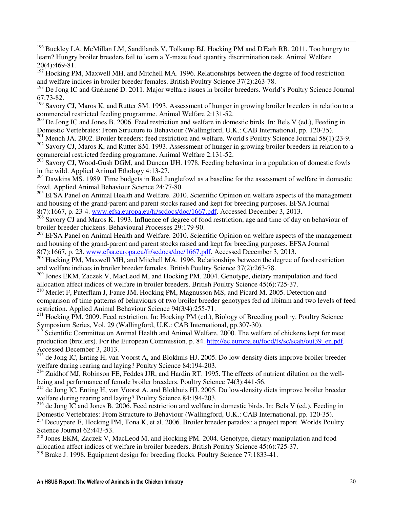<sup>196</sup> Buckley LA, McMillan LM, Sandilands V, Tolkamp BJ, Hocking PM and D'Eath RB. 2011. Too hungry to learn? Hungry broiler breeders fail to learn a Y-maze food quantity discrimination task. Animal Welfare 20(4):469-81.

l

<sup>197</sup> Hocking PM, Maxwell MH, and Mitchell MA. 1996. Relationships between the degree of food restriction and welfare indices in broiler breeder females. British Poultry Science 37(2):263-78.

<sup>198</sup> De Jong IC and Guémené D. 2011. Major welfare issues in broiler breeders. World's Poultry Science Journal 67:73-82.

<sup>199</sup> Savory CJ, Maros K, and Rutter SM. 1993. Assessment of hunger in growing broiler breeders in relation to a commercial restricted feeding programme. Animal Welfare 2:131-52.

<sup>200</sup> De Jong IC and Jones B. 2006. Feed restriction and welfare in domestic birds. In: Bels V (ed.), Feeding in Domestic Vertebrates: From Structure to Behaviour (Wallingford, U.K.: CAB International, pp. 120-35).

<sup>201</sup> Mench JA. 2002. Broiler breeders: feed restriction and welfare. World's Poultry Science Journal 58(1):23-9.

 $202$  Savory CJ, Maros K, and Rutter SM. 1993. Assessment of hunger in growing broiler breeders in relation to a commercial restricted feeding programme. Animal Welfare 2:131-52.

 $203$  Savory CJ, Wood-Gush DGM, and Duncan IJH. 1978. Feeding behaviour in a population of domestic fowls in the wild. Applied Animal Ethology 4:13-27.

<sup>204</sup> Dawkins MS. 1989. Time budgets in Red Junglefowl as a baseline for the assessment of welfare in domestic fowl. Applied Animal Behaviour Science 24:77-80.

<sup>205</sup> EFSA Panel on Animal Health and Welfare. 2010. Scientific Opinion on welfare aspects of the management and housing of the grand-parent and parent stocks raised and kept for breeding purposes. EFSA Journal 8(7):1667, p. 23-4. www.efsa.europa.eu/fr/scdocs/doc/1667.pdf. Accessed December 3, 2013.

<sup>206</sup> Savory CJ and Maros K. 1993. Influence of degree of food restriction, age and time of day on behaviour of broiler breeder chickens. Behavioural Processes 29:179-90.

<sup>207</sup> EFSA Panel on Animal Health and Welfare. 2010. Scientific Opinion on welfare aspects of the management and housing of the grand-parent and parent stocks raised and kept for breeding purposes. EFSA Journal 8(7):1667, p. 23. www.efsa.europa.eu/fr/scdocs/doc/1667.pdf. Accessed December 3, 2013.

<sup>208</sup> Hocking PM, Maxwell MH, and Mitchell MA. 1996. Relationships between the degree of food restriction and welfare indices in broiler breeder females. British Poultry Science 37(2):263-78.

<sup>209</sup> Jones EKM, Zaczek V, MacLeod M, and Hocking PM. 2004. Genotype, dietary manipulation and food allocation affect indices of welfare in broiler breeders. British Poultry Science 45(6):725-37.

<sup>210</sup> Merlet F, Puterflam J, Faure JM, Hocking PM, Magnusson MS, and Picard M. 2005. Detection and comparison of time patterns of behaviours of two broiler breeder genotypes fed ad libitum and two levels of feed restriction. Applied Animal Behaviour Science 94(3/4):255-71.

<sup>211</sup> Hocking PM. 2009. Feed restriction. In: Hocking PM (ed.), Biology of Breeding poultry. Poultry Science Symposium Series, Vol. 29 (Wallingford, U.K.: CAB International, pp.307-30).

<sup>212</sup> Scientific Committee on Animal Health and Animal Welfare. 2000. The welfare of chickens kept for meat production (broilers). For the European Commission, p. 84. http://ec.europa.eu/food/fs/sc/scah/out39\_en.pdf. Accessed December 3, 2013.

<sup>213</sup> de Jong IC, Enting H, van Voorst A, and Blokhuis HJ. 2005. Do low-density diets improve broiler breeder welfare during rearing and laying? Poultry Science 84:194-203.

<sup>214</sup> Zuidhof MJ, Robinson FE, Feddes JJR, and Hardin RT. 1995. The effects of nutrient dilution on the wellbeing and performance of female broiler breeders. Poultry Science 74(3):441-56.

<sup>215</sup> de Jong IC, Enting H, van Voorst A, and Blokhuis HJ. 2005. Do low-density diets improve broiler breeder welfare during rearing and laying? Poultry Science 84:194-203.

<sup>216</sup> de Jong IC and Jones B. 2006. Feed restriction and welfare in domestic birds. In: Bels V (ed.), Feeding in Domestic Vertebrates: From Structure to Behaviour (Wallingford, U.K.: CAB International, pp. 120-35).

<sup>217</sup> Decuypere E, Hocking PM, Tona K, et al. 2006. Broiler breeder paradox: a project report. Worlds Poultry Science Journal 62:443-53.

<sup>218</sup> Jones EKM, Zaczek V, MacLeod M, and Hocking PM. 2004. Genotype, dietary manipulation and food allocation affect indices of welfare in broiler breeders. British Poultry Science 45(6):725-37.

<sup>219</sup> Brake J. 1998. Equipment design for breeding flocks. Poultry Science 77:1833-41.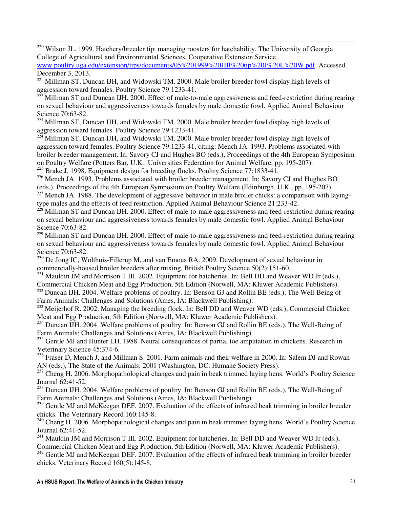<sup>220</sup> Wilson JL. 1999. Hatchery/breeder tip: managing roosters for hatchability. The University of Georgia College of Agricultural and Environmental Sciences, Cooperative Extension Service.

www.poultry.uga.edu/extension/tips/documents/05%201999%20HB%20tip%20J%20L%20W.pdf. Accessed December 3, 2013.

<sup>221</sup> Millman ST, Duncan IJH, and Widowski TM. 2000. Male broiler breeder fowl display high levels of aggression toward females. Poultry Science 79:1233-41.

 $222$  Millman ST and Duncan IJH. 2000. Effect of male-to-male aggressiveness and feed-restriction during rearing on sexual behaviour and aggressiveness towards females by male domestic fowl. Applied Animal Behaviour Science 70:63-82.

<sup>223</sup> Millman ST, Duncan IJH, and Widowski TM. 2000. Male broiler breeder fowl display high levels of aggression toward females. Poultry Science 79:1233-41.

 $224$  Millman ST, Duncan IJH, and Widowski TM. 2000. Male broiler breeder fowl display high levels of aggression toward females. Poultry Science 79:1233-41, citing: Mench JA. 1993. Problems associated with broiler breeder management. In: Savory CJ and Hughes BO (eds.), Proceedings of the 4th European Symposium on Poultry Welfare (Potters Bar, U.K.: Universities Federation for Animal Welfare, pp. 195-207).

<sup>225</sup> Brake J. 1998. Equipment design for breeding flocks. Poultry Science 77:1833-41.

l

<sup>226</sup> Mench JA. 1993. Problems associated with broiler breeder management. In: Savory CJ and Hughes BO (eds.), Proceedings of the 4th European Symposium on Poultry Welfare (Edinburgh, U.K., pp. 195-207).

 $227$  Mench JA. 1988. The development of aggressive behavior in male broiler chicks: a comparison with layingtype males and the effects of feed restriction. Applied Animal Behaviour Science 21:233-42.

 $^{228}$  Millman ST and Duncan IJH. 2000. Effect of male-to-male aggressiveness and feed-restriction during rearing on sexual behaviour and aggressiveness towards females by male domestic fowl. Applied Animal Behaviour Science 70:63-82.

<sup>229</sup> Millman ST and Duncan IJH. 2000. Effect of male-to-male aggressiveness and feed-restriction during rearing on sexual behaviour and aggressiveness towards females by male domestic fowl. Applied Animal Behaviour Science 70:63-82.

<sup>230</sup> De Jong IC, Wolthuis-Fillerup M, and van Emous RA. 2009. Development of sexual behaviour in commercially-housed broiler breeders after mixing. British Poultry Science 50(2):151-60.

<sup>231</sup> Mauldin JM and Morrison T III. 2002. Equipment for hatcheries. In: Bell DD and Weaver WD Jr (eds.), Commercial Chicken Meat and Egg Production, 5th Edition (Norwell, MA: Kluwer Academic Publishers).

<sup>232</sup> Duncan IJH. 2004. Welfare problems of poultry. In: Benson GJ and Rollin BE (eds.), The Well-Being of Farm Animals: Challenges and Solutions (Ames, IA: Blackwell Publishing).

<sup>233</sup> Meijerhof R. 2002. Managing the breeding flock. In: Bell DD and Weaver WD (eds.), Commercial Chicken Meat and Egg Production, 5th Edition (Norwell, MA: Kluwer Academic Publishers).

<sup>234</sup> Duncan IJH. 2004. Welfare problems of poultry. In: Benson GJ and Rollin BE (eds.), The Well-Being of Farm Animals: Challenges and Solutions (Ames, IA: Blackwell Publishing).

<sup>235</sup> Gentle MJ and Hunter LH. 1988. Neural consequences of partial toe amputation in chickens. Research in Veterinary Science 45:374-6.

<sup>236</sup> Fraser D, Mench J, and Millman S. 2001. Farm animals and their welfare in 2000. In: Salem DJ and Rowan AN (eds.), The State of the Animals: 2001 (Washington, DC: Humane Society Press).

<sup>237</sup> Cheng H. 2006. Morphopathological changes and pain in beak trimmed laying hens. World's Poultry Science Journal 62:41-52.

<sup>238</sup> Duncan IJH. 2004. Welfare problems of poultry. In: Benson GJ and Rollin BE (eds.), The Well-Being of Farm Animals: Challenges and Solutions (Ames, IA: Blackwell Publishing).

<sup>239</sup> Gentle MJ and McKeegan DEF. 2007. Evaluation of the effects of infrared beak trimming in broiler breeder chicks. The Veterinary Record 160:145-8.

<sup>240</sup> Cheng H. 2006. Morphopathological changes and pain in beak trimmed laying hens. World's Poultry Science Journal 62:41-52.

 $^{241}$  Mauldin JM and Morrison T III. 2002. Equipment for hatcheries. In: Bell DD and Weaver WD Jr (eds.), Commercial Chicken Meat and Egg Production, 5th Edition (Norwell, MA: Kluwer Academic Publishers).

<sup>242</sup> Gentle MJ and McKeegan DEF. 2007. Evaluation of the effects of infrared beak trimming in broiler breeder chicks. Veterinary Record 160(5):145-8.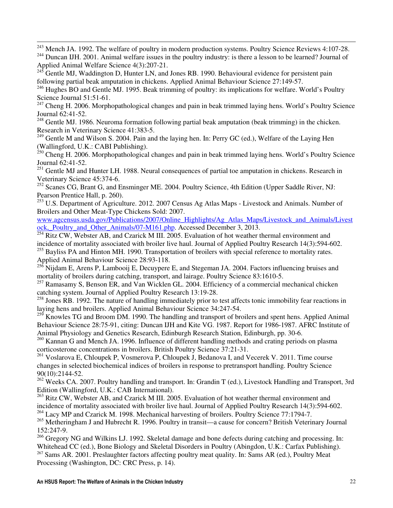$243$  Mench JA. 1992. The welfare of poultry in modern production systems. Poultry Science Reviews 4:107-28.

<sup>244</sup> Duncan IJH. 2001. Animal welfare issues in the poultry industry: is there a lesson to be learned? Journal of Applied Animal Welfare Science 4(3):207-21.

 $^{245}$  Gentle MJ, Waddington D, Hunter LN, and Jones RB. 1990. Behavioural evidence for persistent pain following partial beak amputation in chickens. Applied Animal Behaviour Science 27:149-57.

l

<sup>246</sup> Hughes BO and Gentle MJ. 1995. Beak trimming of poultry: its implications for welfare. World's Poultry Science Journal 51:51-61.

<sup>247</sup> Cheng H. 2006. Morphopathological changes and pain in beak trimmed laying hens. World's Poultry Science Journal 62:41-52.

<sup>248</sup> Gentle MJ. 1986. Neuroma formation following partial beak amputation (beak trimming) in the chicken. Research in Veterinary Science 41:383-5.

<sup>249</sup> Gentle M and Wilson S. 2004. Pain and the laying hen. In: Perry GC (ed.), Welfare of the Laying Hen (Wallingford, U.K.: CABI Publishing).

<sup>250</sup> Cheng H. 2006. Morphopathological changes and pain in beak trimmed laying hens. World's Poultry Science Journal 62:41-52.

<sup>251</sup> Gentle MJ and Hunter LH. 1988. Neural consequences of partial toe amputation in chickens. Research in Veterinary Science 45:374-6.

<sup>252</sup> Scanes CG, Brant G, and Ensminger ME. 2004. Poultry Science, 4th Edition (Upper Saddle River, NJ: Pearson Prentice Hall, p. 260).

 $^{253}$  U.S. Department of Agriculture. 2012. 2007 Census Ag Atlas Maps - Livestock and Animals. Number of Broilers and Other Meat-Type Chickens Sold: 2007.

www.agcensus.usda.gov/Publications/2007/Online\_Highlights/Ag\_Atlas\_Maps/Livestock\_and\_Animals/Livest ock, Poultry\_and\_Other\_Animals/07-M161.php. Accessed December 3, 2013.

 $^{254}$  Ritz CW, Webster AB, and Czarick M III. 2005. Evaluation of hot weather thermal environment and incidence of mortality associated with broiler live haul. Journal of Applied Poultry Research 14(3):594-602.

<sup>255</sup> Bayliss PA and Hinton MH. 1990. Transportation of broilers with special reference to mortality rates. Applied Animal Behaviour Science 28:93-118.

<sup>256</sup> Nijdam E, Arens P, Lambooij E, Decuypere E, and Stegeman JA. 2004. Factors influencing bruises and mortality of broilers during catching, transport, and lairage. Poultry Science 83:1610-5.

<sup>257</sup> Ramasamy S, Benson ER, and Van Wicklen GL. 2004. Efficiency of a commercial mechanical chicken catching system. Journal of Applied Poultry Research 13:19-28.

<sup>258</sup> Jones RB. 1992. The nature of handling immediately prior to test affects tonic immobility fear reactions in laying hens and broilers. Applied Animal Behaviour Science 34:247-54.

 $^{259}$  Knowles TG and Broom DM. 1990. The handling and transport of broilers and spent hens. Applied Animal Behaviour Science 28:75-91, citing: Duncan IJH and Kite VG. 1987. Report for 1986-1987. AFRC Institute of Animal Physiology and Genetics Research, Edinburgh Research Station, Edinburgh, pp. 30-6.

<sup>260</sup> Kannan G and Mench JA. 1996. Influence of different handling methods and crating periods on plasma corticosterone concentrations in broilers. British Poultry Science 37:21-31.

<sup>261</sup> Voslarova E, Chloupek P, Vosmerova P, Chloupek J, Bedanova I, and Vecerek V. 2011. Time course changes in selected biochemical indices of broilers in response to pretransport handling. Poultry Science 90(10):2144-52.

<sup>262</sup> Weeks CA. 2007. Poultry handling and transport. In: Grandin T (ed.), Livestock Handling and Transport, 3rd Edition (Wallingford, U.K.: CAB International).

<sup>263</sup> Ritz CW, Webster AB, and Czarick M III. 2005. Evaluation of hot weather thermal environment and incidence of mortality associated with broiler live haul. Journal of Applied Poultry Research 14(3):594-602. <sup>264</sup> Lacy MP and Czarick M. 1998. Mechanical harvesting of broilers. Poultry Science 77:1794-7.

<sup>265</sup> Metheringham J and Hubrecht R. 1996. Poultry in transit—a cause for concern? British Veterinary Journal 152:247-9.

<sup>266</sup> Gregory NG and Wilkins LJ. 1992. Skeletal damage and bone defects during catching and processing. In: Whitehead CC (ed.), Bone Biology and Skeletal Disorders in Poultry (Abingdon, U.K.: Carfax Publishing). <sup>267</sup> Sams AR. 2001. Preslaughter factors affecting poultry meat quality. In: Sams AR (ed.), Poultry Meat Processing (Washington, DC: CRC Press, p. 14).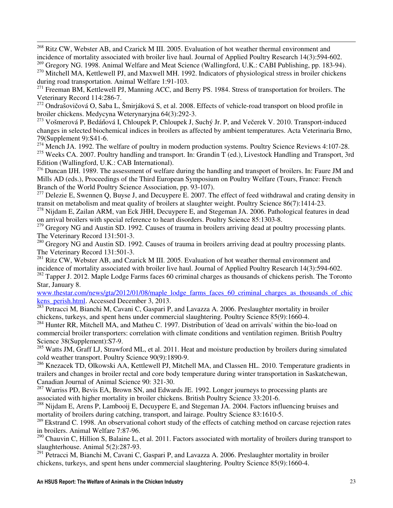<sup>268</sup> Ritz CW, Webster AB, and Czarick M III. 2005. Evaluation of hot weather thermal environment and incidence of mortality associated with broiler live haul. Journal of Applied Poultry Research 14(3):594-602.

<sup>269</sup> Gregory NG. 1998. Animal Welfare and Meat Science (Wallingford, U.K.: CABI Publishing, pp. 183-94). <sup>270</sup> Mitchell MA, Kettlewell PJ, and Maxwell MH. 1992. Indicators of physiological stress in broiler chickens

during road transportation. Animal Welfare 1:91-103.

l

 $^{271}$  Freeman BM, Kettlewell PJ, Manning ACC, and Berry PS, 1984. Stress of transportation for broilers. The Veterinary Record 114:286-7.

<sup>272</sup> Ondrašovičová O, Saba L, Šmirjáková S, et al. 2008. Effects of vehicle-road transport on blood profile in broiler chickens. Medycyna Weterynaryjna 64(3):292-3.

<sup>273</sup> Vošmerová P, Bedáňová I, Chloupek P, Chloupek J, Suchý Jr. P, and Večerek V. 2010. Transport-induced changes in selected biochemical indices in broilers as affected by ambient temperatures. Acta Veterinaria Brno, 79(Supplement 9):S41-6.

 $274$  Mench JA. 1992. The welfare of poultry in modern production systems. Poultry Science Reviews 4:107-28. <sup>275</sup> Weeks CA. 2007. Poultry handling and transport. In: Grandin T (ed.), Livestock Handling and Transport, 3rd Edition (Wallingford, U.K.: CAB International).

 $276$  Duncan IJH. 1989. The assessment of welfare during the handling and transport of broilers. In: Faure JM and Mills AD (eds.), Proceedings of the Third European Symposium on Poultry Welfare (Tours, France: French Branch of the World Poultry Science Association, pp. 93-107).

<sup>277</sup> Delezie E, Swennen Q, Buyse J, and Decuypere E. 2007. The effect of feed withdrawal and crating density in transit on metabolism and meat quality of broilers at slaughter weight. Poultry Science 86(7):1414-23.

<sup>278</sup> Nijdam E, Zailan ARM, van Eck JHH, Decuypere E, and Stegeman JA. 2006. Pathological features in dead on arrival broilers with special reference to heart disorders. Poultry Science 85:1303-8.

<sup>279</sup> Gregory NG and Austin SD. 1992. Causes of trauma in broilers arriving dead at poultry processing plants. The Veterinary Record 131:501-3.

<sup>280</sup> Gregory NG and Austin SD. 1992. Causes of trauma in broilers arriving dead at poultry processing plants. The Veterinary Record 131:501-3.

<sup>281</sup> Ritz CW, Webster AB, and Czarick M III. 2005. Evaluation of hot weather thermal environment and incidence of mortality associated with broiler live haul. Journal of Applied Poultry Research 14(3):594-602.

<sup>282</sup> Tapper J. 2012. Maple Lodge Farms faces 60 criminal charges as thousands of chickens perish. The Toronto Star, January 8.

www.thestar.com/news/gta/2012/01/08/maple\_lodge\_farms\_faces\_60\_criminal\_charges\_as\_thousands\_of\_chic kens\_perish.html. Accessed December 3, 2013.

<sup>283</sup> Petracci M, Bianchi M, Cavani C, Gaspari P, and Lavazza A. 2006. Preslaughter mortality in broiler chickens, turkeys, and spent hens under commercial slaughtering. Poultry Science 85(9):1660-4.

<sup>284</sup> Hunter RR, Mitchell MA, and Matheu C. 1997. Distribution of 'dead on arrivals' within the bio-load on commercial broiler transporters: correlation with climate conditions and ventilation regimen. British Poultry Science 38(Supplement):S7-9.

<sup>285</sup> Watts JM, Graff LJ, Strawford ML, et al. 2011. Heat and moisture production by broilers during simulated cold weather transport. Poultry Science 90(9):1890-9.

<sup>286</sup> Knezacek TD, Olkowski AA, Kettlewell PJ, Mitchell MA, and Classen HL. 2010. Temperature gradients in trailers and changes in broiler rectal and core body temperature during winter transportation in Saskatchewan, Canadian Journal of Animal Science 90: 321-30.

<sup>287</sup> Warriss PD, Bevis EA, Brown SN, and Edwards JE. 1992. Longer journeys to processing plants are associated with higher mortality in broiler chickens. British Poultry Science 33:201-6.

<sup>288</sup> Nijdam E, Arens P, Lambooij E, Decuypere E, and Stegeman JA. 2004. Factors influencing bruises and mortality of broilers during catching, transport, and lairage. Poultry Science 83:1610-5.

<sup>289</sup> Ekstrand C. 1998. An observational cohort study of the effects of catching method on carcase rejection rates in broilers. Animal Welfare 7:87-96.

<sup>290</sup> Chauvin C, Hillion S, Balaine L, et al. 2011. Factors associated with mortality of broilers during transport to slaughterhouse. Animal 5(2):287-93.

 $291$  Petracci M, Bianchi M, Cavani C, Gaspari P, and Lavazza A. 2006. Preslaughter mortality in broiler chickens, turkeys, and spent hens under commercial slaughtering. Poultry Science 85(9):1660-4.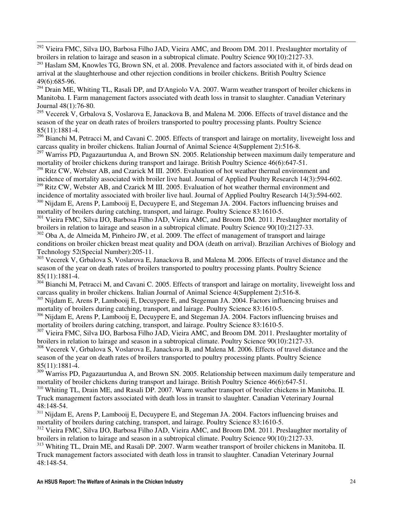$292$  Vieira FMC, Silva IJO, Barbosa Filho JAD, Vieira AMC, and Broom DM. 2011. Preslaughter mortality of broilers in relation to lairage and season in a subtropical climate. Poultry Science 90(10):2127-33.

l

<sup>293</sup> Haslam SM, Knowles TG, Brown SN, et al. 2008. Prevalence and factors associated with it, of birds dead on arrival at the slaughterhouse and other rejection conditions in broiler chickens. British Poultry Science 49(6):685-96.

 $294$  Drain ME, Whiting TL, Rasali DP, and D'Angiolo VA. 2007. Warm weather transport of broiler chickens in Manitoba. I. Farm management factors associated with death loss in transit to slaughter. Canadian Veterinary Journal 48(1):76-80.

<sup>295</sup> Vecerek V, Grbalova S, Voslarova E, Janackova B, and Malena M. 2006. Effects of travel distance and the season of the year on death rates of broilers transported to poultry processing plants. Poultry Science 85(11):1881-4.

 $^{296}$  Bianchi M, Petracci M, and Cavani C. 2005. Effects of transport and lairage on mortality, liveweight loss and carcass quality in broiler chickens. Italian Journal of Animal Science 4(Supplement 2):516-8.

 $297$  Warriss PD, Pagazaurtundua A, and Brown SN. 2005. Relationship between maximum daily temperature and mortality of broiler chickens during transport and lairage. British Poultry Science 46(6):647-51.

<sup>298</sup> Ritz CW, Webster AB, and Czarick M III. 2005. Evaluation of hot weather thermal environment and incidence of mortality associated with broiler live haul. Journal of Applied Poultry Research 14(3):594-602.

<sup>299</sup> Ritz CW, Webster AB, and Czarick M III. 2005. Evaluation of hot weather thermal environment and incidence of mortality associated with broiler live haul. Journal of Applied Poultry Research 14(3):594-602.

<sup>300</sup> Nijdam E, Arens P, Lambooij E, Decuypere E, and Stegeman JA. 2004. Factors influencing bruises and mortality of broilers during catching, transport, and lairage. Poultry Science 83:1610-5.

<sup>301</sup> Vieira FMC, Silva IJO, Barbosa Filho JAD, Vieira AMC, and Broom DM. 2011. Preslaughter mortality of broilers in relation to lairage and season in a subtropical climate. Poultry Science 90(10):2127-33.

<sup>302</sup> Oba A, de Almeida M, Pinheiro JW, et al. 2009. The effect of management of transport and lairage conditions on broiler chicken breast meat quality and DOA (death on arrival). Brazilian Archives of Biology and Technology 52(Special Number):205-11.

<sup>303</sup> Vecerek V, Grbalova S, Voslarova E, Janackova B, and Malena M. 2006. Effects of travel distance and the season of the year on death rates of broilers transported to poultry processing plants. Poultry Science 85(11):1881-4.

<sup>304</sup> Bianchi M, Petracci M, and Cavani C. 2005. Effects of transport and lairage on mortality, liveweight loss and carcass quality in broiler chickens. Italian Journal of Animal Science 4(Supplement 2):516-8.

<sup>305</sup> Nijdam E, Arens P, Lambooij E, Decuypere E, and Stegeman JA. 2004. Factors influencing bruises and mortality of broilers during catching, transport, and lairage. Poultry Science 83:1610-5.

<sup>306</sup> Nijdam E, Arens P, Lambooij E, Decuypere E, and Stegeman JA. 2004. Factors influencing bruises and mortality of broilers during catching, transport, and lairage. Poultry Science 83:1610-5.

<sup>307</sup> Vieira FMC, Silva IJO, Barbosa Filho JAD, Vieira AMC, and Broom DM, 2011. Preslaughter mortality of broilers in relation to lairage and season in a subtropical climate. Poultry Science 90(10):2127-33.

<sup>308</sup> Vecerek V, Grbalova S, Voslarova E, Janackova B, and Malena M. 2006. Effects of travel distance and the season of the year on death rates of broilers transported to poultry processing plants. Poultry Science 85(11):1881-4.

<sup>309</sup> Warriss PD, Pagazaurtundua A, and Brown SN. 2005. Relationship between maximum daily temperature and mortality of broiler chickens during transport and lairage. British Poultry Science 46(6):647-51.

<sup>310</sup> Whiting TL, Drain ME, and Rasali DP. 2007. Warm weather transport of broiler chickens in Manitoba. II. Truck management factors associated with death loss in transit to slaughter. Canadian Veterinary Journal 48:148-54.

<sup>311</sup> Nijdam E, Arens P, Lambooij E, Decuypere E, and Stegeman JA. 2004. Factors influencing bruises and mortality of broilers during catching, transport, and lairage. Poultry Science 83:1610-5.

<sup>312</sup> Vieira FMC, Silva IJO, Barbosa Filho JAD, Vieira AMC, and Broom DM. 2011. Preslaughter mortality of broilers in relation to lairage and season in a subtropical climate. Poultry Science 90(10):2127-33.

<sup>313</sup> Whiting TL, Drain ME, and Rasali DP. 2007. Warm weather transport of broiler chickens in Manitoba. II. Truck management factors associated with death loss in transit to slaughter. Canadian Veterinary Journal 48:148-54.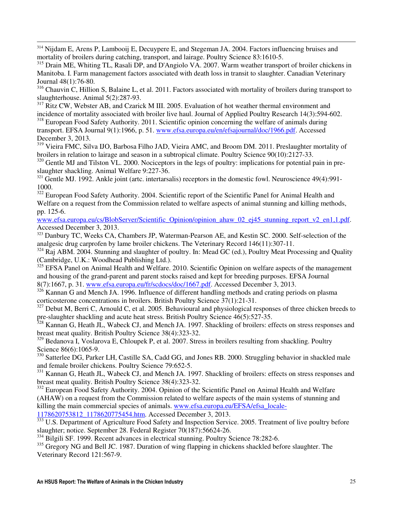<sup>314</sup> Nijdam E, Arens P, Lambooij E, Decuypere E, and Stegeman JA. 2004. Factors influencing bruises and mortality of broilers during catching, transport, and lairage. Poultry Science 83:1610-5.

l

<sup>315</sup> Drain ME, Whiting TL, Rasali DP, and D'Angiolo VA. 2007. Warm weather transport of broiler chickens in Manitoba. I. Farm management factors associated with death loss in transit to slaughter. Canadian Veterinary Journal 48(1):76-80.

<sup>316</sup> Chauvin C, Hillion S, Balaine L, et al. 2011. Factors associated with mortality of broilers during transport to slaughterhouse. Animal 5(2):287-93.

<sup>317</sup> Ritz CW, Webster AB, and Czarick M III. 2005. Evaluation of hot weather thermal environment and incidence of mortality associated with broiler live haul. Journal of Applied Poultry Research 14(3):594-602.

<sup>318</sup> European Food Safety Authority. 2011. Scientific opinion concerning the welfare of animals during transport. EFSA Journal 9(1):1966, p. 51. www.efsa.europa.eu/en/efsajournal/doc/1966.pdf. Accessed December 3, 2013.

<sup>319</sup> Vieira FMC, Silva IJO, Barbosa Filho JAD, Vieira AMC, and Broom DM. 2011. Preslaughter mortality of broilers in relation to lairage and season in a subtropical climate. Poultry Science 90(10):2127-33.

<sup>320</sup> Gentle MJ and Tilston VL. 2000. Nociceptors in the legs of poultry: implications for potential pain in preslaughter shackling. Animal Welfare 9:227-36.

 $321$  Gentle MJ. 1992. Ankle joint (artc. intertarsalis) receptors in the domestic fowl. Neuroscience 49(4):991-1000.

<sup>322</sup> European Food Safety Authority. 2004. Scientific report of the Scientific Panel for Animal Health and Welfare on a request from the Commission related to welfare aspects of animal stunning and killing methods, pp. 125-6.

www.efsa.europa.eu/cs/BlobServer/Scientific\_Opinion/opinion\_ahaw\_02\_ej45\_stunning\_report\_v2\_en1,1.pdf. Accessed December 3, 2013.

<sup>323</sup> Danbury TC, Weeks CA, Chambers JP, Waterman-Pearson AE, and Kestin SC. 2000. Self-selection of the analgesic drug carprofen by lame broiler chickens. The Veterinary Record 146(11):307-11.

<sup>324</sup> Raj ABM. 2004. Stunning and slaughter of poultry. In: Mead GC (ed.), Poultry Meat Processing and Quality (Cambridge, U.K.: Woodhead Publishing Ltd.).

<sup>325</sup> EFSA Panel on Animal Health and Welfare. 2010. Scientific Opinion on welfare aspects of the management and housing of the grand-parent and parent stocks raised and kept for breeding purposes. EFSA Journal 8(7):1667, p. 31. www.efsa.europa.eu/fr/scdocs/doc/1667.pdf. Accessed December 3, 2013.

<sup>326</sup> Kannan G and Mench JA. 1996. Influence of different handling methods and crating periods on plasma corticosterone concentrations in broilers. British Poultry Science 37(1):21-31.

<sup>327</sup> Debut M, Berri C, Arnould C, et al. 2005. Behavioural and physiological responses of three chicken breeds to pre-slaughter shackling and acute heat stress. British Poultry Science 46(5):527-35.

<sup>328</sup> Kannan G, Heath JL, Wabeck CJ, and Mench JA. 1997. Shackling of broilers: effects on stress responses and breast meat quality. British Poultry Science 38(4):323-32.

<sup>329</sup> Bedanova I, Voslarova E, Chloupek P, et al. 2007. Stress in broilers resulting from shackling. Poultry Science 86(6):1065-9.

<sup>330</sup> Satterlee DG, Parker LH, Castille SA, Cadd GG, and Jones RB. 2000. Struggling behavior in shackled male and female broiler chickens. Poultry Science 79:652-5.

<sup>331</sup> Kannan G, Heath JL, Wabeck CJ, and Mench JA. 1997. Shackling of broilers: effects on stress responses and breast meat quality. British Poultry Science 38(4):323-32.

<sup>332</sup> European Food Safety Authority. 2004. Opinion of the Scientific Panel on Animal Health and Welfare (AHAW) on a request from the Commission related to welfare aspects of the main systems of stunning and killing the main commercial species of animals. www.efsa.europa.eu/EFSA/efsa\_locale-1178620753812\_1178620775454.htm. Accessed December 3, 2013.

333 U.S. Department of Agriculture Food Safety and Inspection Service. 2005. Treatment of live poultry before slaughter; notice. September 28. Federal Register 70(187):56624-26.

<sup>334</sup> Bilgili SF. 1999. Recent advances in electrical stunning. Poultry Science 78:282-6.

<sup>335</sup> Gregory NG and Bell JC. 1987. Duration of wing flapping in chickens shackled before slaughter. The Veterinary Record 121:567-9.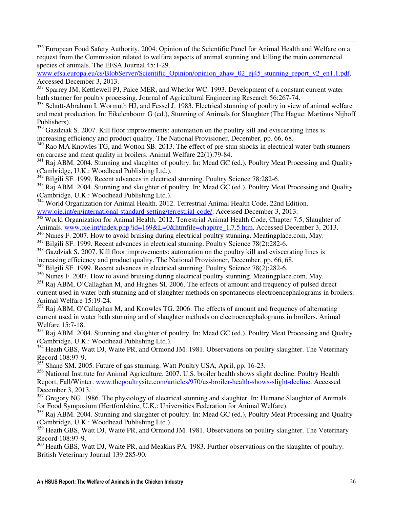<sup>336</sup> European Food Safety Authority. 2004. Opinion of the Scientific Panel for Animal Health and Welfare on a request from the Commission related to welfare aspects of animal stunning and killing the main commercial species of animals. The EFSA Journal 45:1-29.

www.efsa.europa.eu/cs/BlobServer/Scientific\_Opinion/opinion\_ahaw\_02\_ej45\_stunning\_report\_v2\_en1,1.pdf. Accessed December 3, 2013.

<sup>337</sup> Sparrey JM, Kettlewell PJ, Paice MER, and Whetlor WC, 1993. Development of a constant current water bath stunner for poultry processing. Journal of Agricultural Engineering Research 56:267-74.

<sup>338</sup> Schütt-Abraham I, Wormuth HJ, and Fessel J. 1983. Electrical stunning of poultry in view of animal welfare and meat production. In: Eikelenboom G (ed.), Stunning of Animals for Slaughter (The Hague: Martinus Nijhoff Publishers).

<sup>339</sup> Gazdziak S. 2007. Kill floor improvements: automation on the poultry kill and eviscerating lines is increasing efficiency and product quality. The National Provisioner, December, pp. 66, 68.

<sup>340</sup> Rao MA Knowles TG, and Wotton SB, 2013. The effect of pre-stun shocks in electrical water-bath stunners on carcase and meat quality in broilers. Animal Welfare 22(1):79-84.

<sup>341</sup> Raj ABM. 2004. Stunning and slaughter of poultry. In: Mead GC (ed.), Poultry Meat Processing and Quality (Cambridge, U.K.: Woodhead Publishing Ltd.).

<sup>342</sup> Bilgili SF. 1999. Recent advances in electrical stunning. Poultry Science 78:282-6.

l

<sup>343</sup> Raj ABM. 2004. Stunning and slaughter of poultry. In: Mead GC (ed.), Poultry Meat Processing and Quality (Cambridge, U.K.: Woodhead Publishing Ltd.).

 $344$  World Organization for Animal Health. 2012. Terrestrial Animal Health Code, 22nd Edition.

www.oie.int/en/international-standard-setting/terrestrial-code/. Accessed December 3, 2013.

<sup>345</sup> World Organization for Animal Health. 2012. Terrestrial Animal Health Code, Chapter 7.5, Slaughter of Animals. www.oie.int/index.php?id=169&L=0&htmfile=chapitre\_1.7.5.htm. Accessed December 3, 2013.

<sup>346</sup> Nunes F. 2007. How to avoid bruising during electrical poultry stunning. Meatingplace.com, May.

<sup>347</sup> Bilgili SF. 1999. Recent advances in electrical stunning. Poultry Science 78(2):282-6.

<sup>348</sup> Gazdziak S. 2007. Kill floor improvements: automation on the poultry kill and eviscerating lines is

increasing efficiency and product quality. The National Provisioner, December, pp. 66, 68.

<sup>349</sup> Bilgili SF. 1999. Recent advances in electrical stunning. Poultry Science 78(2):282-6.

<sup>350</sup> Nunes F. 2007. How to avoid bruising during electrical poultry stunning. Meatingplace.com, May.

<sup>351</sup> Raj ABM, O'Callaghan M, and Hughes SI. 2006. The effects of amount and frequency of pulsed direct current used in water bath stunning and of slaughter methods on spontaneous electroencephalograms in broilers. Animal Welfare 15:19-24.

<sup>352</sup> Raj ABM, O'Callaghan M, and Knowles TG. 2006. The effects of amount and frequency of alternating current used in water bath stunning and of slaughter methods on electroencephalograms in broilers. Animal Welfare 15:7-18.

<sup>353</sup> Raj ABM. 2004. Stunning and slaughter of poultry. In: Mead GC (ed.), Poultry Meat Processing and Quality (Cambridge, U.K.: Woodhead Publishing Ltd.).

<sup>354</sup> Heath GBS, Watt DJ, Waite PR, and Ormond JM. 1981. Observations on poultry slaughter. The Veterinary Record 108:97-9.

<sup>355</sup> Shane SM. 2005. Future of gas stunning. Watt Poultry USA, April, pp. 16-23.

<sup>356</sup> National Institute for Animal Agriculture. 2007. U.S. broiler health shows slight decline. Poultry Health Report, Fall/Winter. www.thepoultrysite.com/articles/970/us-broiler-health-shows-slight-decline. Accessed December 3, 2013.

<sup>357</sup> Gregory NG. 1986. The physiology of electrical stunning and slaughter. In: Humane Slaughter of Animals for Food Symposium (Hertfordshire, U.K.: Universities Federation for Animal Welfare).

<sup>358</sup> Raj ABM. 2004. Stunning and slaughter of poultry. In: Mead GC (ed.), Poultry Meat Processing and Quality (Cambridge, U.K.: Woodhead Publishing Ltd.).

<sup>359</sup> Heath GBS, Watt DJ, Waite PR, and Ormond JM. 1981. Observations on poultry slaughter. The Veterinary Record 108:97-9.

<sup>360</sup> Heath GBS, Watt DJ, Waite PR, and Meakins PA, 1983. Further observations on the slaughter of poultry. British Veterinary Journal 139:285-90.